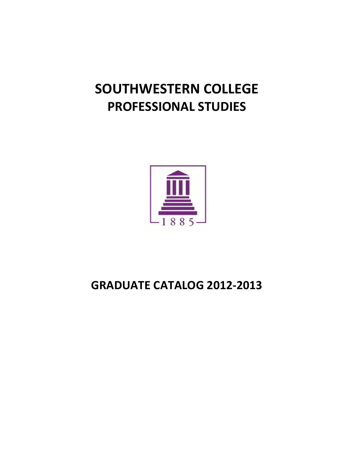# **SOUTHWESTERN COLLEGE PROFESSIONAL STUDIES**



## **GRADUATE CATALOG 2012-2013**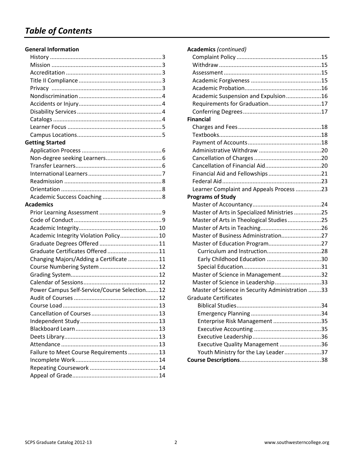## *Table of Contents*

#### **General Information**

| <b>Getting Started</b>                       |  |
|----------------------------------------------|--|
|                                              |  |
|                                              |  |
|                                              |  |
|                                              |  |
|                                              |  |
|                                              |  |
|                                              |  |
| Academics                                    |  |
|                                              |  |
|                                              |  |
|                                              |  |
| Academic Integrity Violation Policy 10       |  |
|                                              |  |
| Graduate Certificates Offered 11             |  |
| Changing Majors/Adding a Certificate 11      |  |
|                                              |  |
|                                              |  |
|                                              |  |
| Power Campus Self-Service/Course Selection12 |  |
|                                              |  |
|                                              |  |
|                                              |  |
|                                              |  |
|                                              |  |
|                                              |  |
|                                              |  |
| Failure to Meet Course Requirements  13      |  |
|                                              |  |
|                                              |  |
|                                              |  |
|                                              |  |

| <b>Academics (continued)</b>                    |    |
|-------------------------------------------------|----|
|                                                 |    |
|                                                 |    |
|                                                 |    |
|                                                 |    |
|                                                 |    |
| Academic Suspension and Expulsion16             |    |
| Requirements for Graduation17                   |    |
|                                                 |    |
| <b>Financial</b>                                |    |
|                                                 |    |
|                                                 |    |
|                                                 |    |
|                                                 |    |
|                                                 |    |
|                                                 |    |
|                                                 |    |
|                                                 |    |
| Learner Complaint and Appeals Process 23        |    |
| <b>Programs of Study</b>                        |    |
|                                                 |    |
| Master of Arts in Specialized Ministries 25     |    |
| Master of Arts in Theological Studies25         |    |
|                                                 |    |
| Master of Business Administration27             |    |
|                                                 |    |
|                                                 |    |
|                                                 |    |
|                                                 |    |
| Master of Science in Management32               |    |
| Master of Science in Leadership33               |    |
| Master of Science in Security Administration 33 |    |
| <b>Graduate Certificates</b>                    |    |
| <b>Riblical Studies</b>                         | 34 |
|                                                 |    |
| Enterprise Risk Management 35                   |    |
|                                                 |    |
|                                                 |    |
| Executive Quality Management 36                 |    |
| Youth Ministry for the Lay Leader37             |    |
|                                                 |    |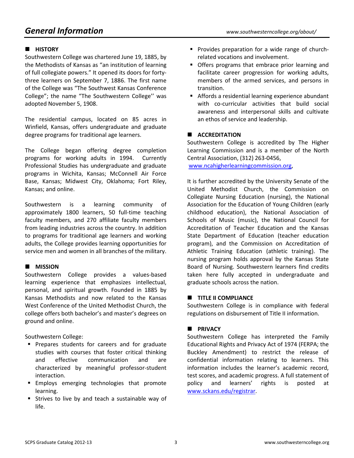## *General Information www.southwesterncollege.org/about/*

#### **E** HISTORY

Southwestern College was chartered June 19, 1885, by the Methodists of Kansas as "an institution of learning of full collegiate powers." It opened its doors for fortythree learners on September 7, 1886. The first name of the College was "The Southwest Kansas Conference College"; the name "The Southwestern College'' was adopted November 5, 1908.

The residential campus, located on 85 acres in Winfield, Kansas, offers undergraduate and graduate degree programs for traditional age learners.

The College began offering degree completion programs for working adults in 1994. Currently Professional Studies has undergraduate and graduate programs in Wichita, Kansas; McConnell Air Force Base, Kansas; Midwest City, Oklahoma; Fort Riley, Kansas; and online.

Southwestern is a learning community of approximately 1800 learners, 50 full-time teaching faculty members, and 270 affiliate faculty members from leading industries across the country. In addition to programs for traditional age learners and working adults, the College provides learning opportunities for service men and women in all branches of the military.

#### **MISSION**

Southwestern College provides a values-based learning experience that emphasizes intellectual, personal, and spiritual growth. Founded in 1885 by Kansas Methodists and now related to the Kansas West Conference of the United Methodist Church, the college offers both bachelor's and master's degrees on ground and online.

Southwestern College:

- **Prepares students for careers and for graduate** studies with courses that foster critical thinking and effective communication and are characterized by meaningful professor-student interaction.
- Employs emerging technologies that promote learning.
- **Strives to live by and teach a sustainable way of** life.
- **Provides preparation for a wide range of church**related vocations and involvement.
- Offers programs that embrace prior learning and facilitate career progression for working adults, members of the armed services, and persons in transition.
- Affords a residential learning experience abundant with co-curricular activities that build social awareness and interpersonal skills and cultivate an ethos of service and leadership.

#### $\blacksquare$  **ACCREDITATION**

Southwestern College is accredited by The Higher Learning Commission and is a member of the North Central Association, (312) 263-0456,

www.ncahigherlearningcommission.org,

It is further accredited by the University Senate of the United Methodist Church, the Commission on Collegiate Nursing Education (nursing), the National Association for the Education of Young Children (early childhood education), the National Association of Schools of Music (music), the National Council for Accreditation of Teacher Education and the Kansas State Department of Education (teacher education program), and the Commission on Accreditation of Athletic Training Education (athletic training). The nursing program holds approval by the Kansas State Board of Nursing. Southwestern learners find credits taken here fully accepted in undergraduate and graduate schools across the nation.

#### $\blacksquare$  **TITLE II COMPLIANCE**

Southwestern College is in compliance with federal regulations on disbursement of Title II information.

#### **PRIVACY**

Southwestern College has interpreted the Family Educational Rights and Privacy Act of 1974 (FERPA; the Buckley Amendment) to restrict the release of confidential information relating to learners. This information includes the learner's academic record, test scores, and academic progress. A full statement of policy and learners' rights is posted at www.sckans.edu/registrar.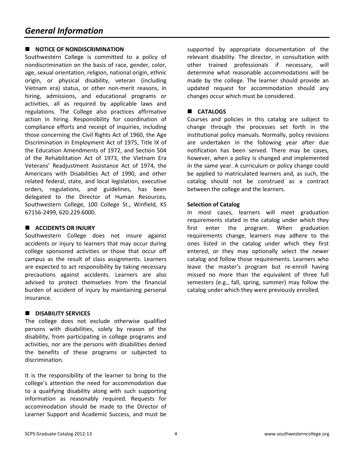#### **NOTICE OF NONDISCRIMINATION**

Southwestern College is committed to a policy of nondiscrimination on the basis of race, gender, color, age, sexual orientation, religion, national origin, ethnic origin, or physical disability, veteran (including Vietnam era) status, or other non-merit reasons, in hiring, admissions, and educational programs or activities, all as required by applicable laws and regulations. The College also practices affirmative action in hiring. Responsibility for coordination of compliance efforts and receipt of inquiries, including those concerning the Civil Rights Act of 1960, the Age Discrimination in Employment Act of 1975, Title IX of the Education Amendments of 1972, and Section 504 of the Rehabilitation Act of 1973, the Vietnam Era Veterans' Readjustment Assistance Act of 1974, the Americans with Disabilities Act of 1990, and other related federal, state, and local legislation, executive orders, regulations, and guidelines, has been delegated to the Director of Human Resources, Southwestern College, 100 College St., Winfield, KS 67156-2499, 620.229.6000.

#### **E** ACCIDENTS OR INJURY

Southwestern College does not insure against accidents or injury to learners that may occur during college sponsored activities or those that occur off campus as the result of class assignments. Learners are expected to act responsibility by taking necessary precautions against accidents. Learners are also advised to protect themselves from the financial burden of accident of injury by maintaining personal insurance.

#### **N** DISABILITY SERVICES

The college does not exclude otherwise qualified persons with disabilities, solely by reason of the disability, from participating in college programs and activities, nor are the persons with disabilities denied the benefits of these programs or subjected to discrimination.

It is the responsibility of the learner to bring to the college's attention the need for accommodation due to a qualifying disability along with such supporting information as reasonably required. Requests for accommodation should be made to the Director of Learner Support and Academic Success, and must be supported by appropriate documentation of the relevant disability. The director, in consultation with other trained professionals if necessary, will determine what reasonable accommodations will be made by the college. The learner should provide an updated request for accommodation should any changes occur which must be considered.

#### **CATALOGS**

Courses and policies in this catalog are subject to change through the processes set forth in the institutional policy manuals. Normally, policy revisions are undertaken in the following year after due notification has been served. There may be cases, however, when a policy is changed and implemented in the same year. A curriculum or policy change could be applied to matriculated learners and, as such, the catalog should not be construed as a contract between the college and the learners.

#### **Selection of Catalog**

In most cases, learners will meet graduation requirements stated in the catalog under which they first enter the program. When graduation requirements change, learners may adhere to the ones listed in the catalog under which they first entered, or they may optionally select the newer catalog and follow those requirements. Learners who leave the master's program but re-enroll having missed no more than the equivalent of three full semesters (e.g., fall, spring, summer) may follow the catalog under which they were previously enrolled.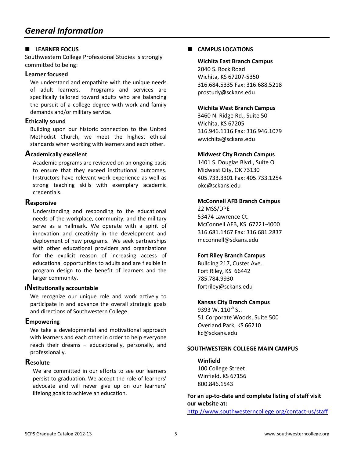#### **LEARNER FOCUS**

Southwestern College Professional Studies is strongly committed to being:

#### **Learner focused**

We understand and empathize with the unique needs of adult learners. Programs and services are specifically tailored toward adults who are balancing the pursuit of a college degree with work and family demands and/or military service.

#### **Ethically sound**

Building upon our historic connection to the United Methodist Church, we meet the highest ethical standards when working with learners and each other.

#### **Academically excellent**

Academic programs are reviewed on an ongoing basis to ensure that they exceed institutional outcomes. Instructors have relevant work experience as well as strong teaching skills with exemplary academic credentials.

#### **Responsive**

Understanding and responding to the educational needs of the workplace, community, and the military serve as a hallmark. We operate with a spirit of innovation and creativity in the development and deployment of new programs. We seek partnerships with other educational providers and organizations for the explicit reason of increasing access of educational opportunities to adults and are flexible in program design to the benefit of learners and the larger community.

#### **<sup>i</sup>Nstitutionally accountable**

We recognize our unique role and work actively to participate in and advance the overall strategic goals and directions of Southwestern College.

#### **Empowering**

We take a developmental and motivational approach with learners and each other in order to help everyone reach their dreams – educationally, personally, and professionally.

#### **Resolute**

We are committed in our efforts to see our learners persist to graduation. We accept the role of learners' advocate and will never give up on our learners' lifelong goals to achieve an education.

#### **CAMPUS LOCATIONS**

**Wichita East Branch Campus**  2040 S. Rock Road Wichita, KS 67207-5350 316.684.5335 Fax: 316.688.5218 prostudy@sckans.edu

#### **Wichita West Branch Campus**

3460 N. Ridge Rd., Suite 50 Wichita, KS 67205 316.946.1116 Fax: 316.946.1079 wwichita@sckans.edu

#### **Midwest City Branch Campus**

1401 S. Douglas Blvd., Suite O Midwest City, OK 73130 405.733.3301 Fax: 405.733.1254 okc@sckans.edu

#### **McConnell AFB Branch Campus**

22 MSS/DPE 53474 Lawrence Ct. McConnell AFB, KS 67221-4000 316.681.1467 Fax: 316.681.2837 mcconnell@sckans.edu

#### **Fort Riley Branch Campus**

Building 217, Custer Ave. Fort Riley, KS 66442 785.784.9930 fortriley@sckans.edu

#### **Kansas City Branch Campus**

9393 W.  $110^{th}$  St. 51 Corporate Woods, Suite 500 Overland Park, KS 66210 kc@sckans.edu

#### **SOUTHWESTERN COLLEGE MAIN CAMPUS**

**Winfield**  100 College Street Winfield, KS 67156 800.846.1543

**For an up-to-date and complete listing of staff visit our website at:** 

http://www.southwesterncollege.org/contact-us/staff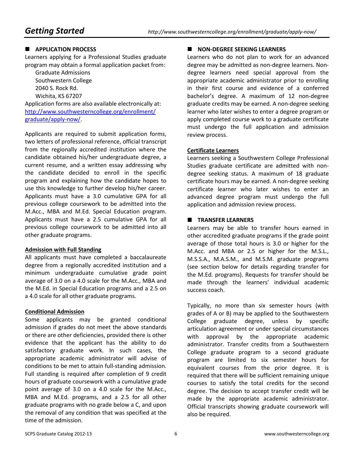#### $\blacksquare$  APPLICATION PROCESS

Learners applying for a Professional Studies graduate program may obtain a formal application packet from:

 Graduate Admissions Southwestern College 2040 S. Rock Rd. Wichita, KS 67207

Application forms are also available electronically at: http://www.southwesterncollege.org/enrollment/ graduate/apply-now/.

Applicants are required to submit application forms, two letters of professional reference, official transcript from the regionally accredited institution where the candidate obtained his/her undergraduate degree, a current resume, and a written essay addressing why the candidate decided to enroll in the specific program and explaining how the candidate hopes to use this knowledge to further develop his/her career. Applicants must have a 3.0 cumulative GPA for all previous college coursework to be admitted into the M.Acc., MBA and M.Ed. Special Education program. Applicants must have a 2.5 cumulative GPA for all previous college coursework to be admitted into all other graduate programs.

#### **Admission with Full Standing**

All applicants must have completed a baccalaureate degree from a regionally accredited institution and a minimum undergraduate cumulative grade point average of 3.0 on a 4.0 scale for the M.Acc., MBA and the M.Ed. in Special Education programs and a 2.5 on a 4.0 scale for all other graduate programs.

#### **Conditional Admission**

Some applicants may be granted conditional admission if grades do not meet the above standards or there are other deficiencies, provided there is other evidence that the applicant has the ability to do satisfactory graduate work. In such cases, the appropriate academic administrator will advise of conditions to be met to attain full-standing admission. Full standing is required after completion of 9 credit hours of graduate coursework with a cumulative grade point average of 3.0 on a 4.0 scale for the M.Acc., MBA and M.Ed. programs, and a 2.5 for all other graduate programs with no grade below a C, and upon the removal of any condition that was specified at the time of the admission.

#### **NON-DEGREE SEEKING LEARNERS**

Learners who do not plan to work for an advanced degree may be admitted as non-degree learners. Nondegree learners need special approval from the appropriate academic administrator prior to enrolling in their first course and evidence of a conferred bachelor's degree. A maximum of 12 non-degree graduate credits may be earned. A non-degree seeking learner who later wishes to enter a degree program or apply completed course work to a graduate certificate must undergo the full application and admission review process.

#### **Certificate Learners**

Learners seeking a Southwestern College Professional Studies graduate certificate are admitted with nondegree seeking status. A maximum of 18 graduate certificate hours may be earned. A non-degree seeking certificate learner who later wishes to enter an advanced degree program must undergo the full application and admission review process.

#### **TRANSFER LEARNERS**

Learners may be able to transfer hours earned in other accredited graduate programs if the grade point average of those total hours is 3.0 or higher for the M.Acc. and MBA or 2.5 or higher for the M.S.L., M.S.S.A., M.A.S.M., and M.S.M. graduate programs (see section below for details regarding transfer for the M.Ed. programs). Requests for transfer should be made through the learners' individual academic success coach.

Typically, no more than six semester hours (with grades of A or B) may be applied to the Southwestern College graduate degree, unless by specific articulation agreement or under special circumstances with approval by the appropriate academic administrator. Transfer credits from a Southwestern College graduate program to a second graduate program are limited to six semester hours for equivalent courses from the prior degree. It is required that there will be sufficient remaining unique courses to satisfy the total credits for the second degree. The decision to accept transfer credit will be made by the appropriate academic administrator. Official transcripts showing graduate coursework will also be required.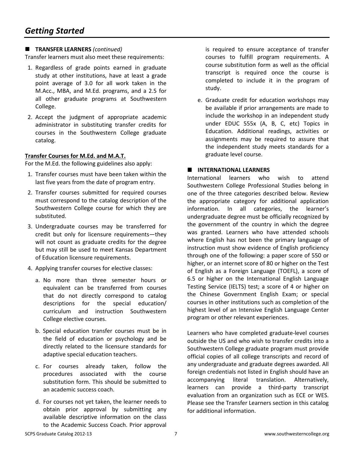#### **TRANSFER LEARNERS** *(continued)*

Transfer learners must also meet these requirements:

- 1. Regardless of grade points earned in graduate study at other institutions, have at least a grade point average of 3.0 for all work taken in the M.Acc., MBA, and M.Ed. programs, and a 2.5 for all other graduate programs at Southwestern College.
- 2. Accept the judgment of appropriate academic administrator in substituting transfer credits for courses in the Southwestern College graduate catalog.

#### **Transfer Courses for M.Ed. and M.A.T.**

For the M.Ed. the following guidelines also apply:

- 1. Transfer courses must have been taken within the last five years from the date of program entry.
- 2. Transfer courses submitted for required courses must correspond to the catalog description of the Southwestern College course for which they are substituted.
- 3. Undergraduate courses may be transferred for credit but only for licensure requirements—they will not count as graduate credits for the degree but may still be used to meet Kansas Department of Education licensure requirements.
- 4. Applying transfer courses for elective classes:
	- a. No more than three semester hours or equivalent can be transferred from courses that do not directly correspond to catalog descriptions for the special education/ curriculum and instruction Southwestern College elective courses.
	- b. Special education transfer courses must be in the field of education or psychology and be directly related to the licensure standards for adaptive special education teachers.
	- c. For courses already taken, follow the procedures associated with the course substitution form. This should be submitted to an academic success coach.
	- d. For courses not yet taken, the learner needs to obtain prior approval by submitting any available descriptive information on the class to the Academic Success Coach. Prior approval

is required to ensure acceptance of transfer courses to fulfill program requirements. A course substitution form as well as the official transcript is required once the course is completed to include it in the program of study.

e. Graduate credit for education workshops may be available if prior arrangements are made to include the workshop in an independent study under EDUC 555x (A, B, C, etc) Topics in Education. Additional readings, activities or assignments may be required to assure that the independent study meets standards for a graduate level course.

#### $\blacksquare$  INTERNATIONAL LEARNERS

International learners who wish to attend Southwestern College Professional Studies belong in one of the three categories described below. Review the appropriate category for additional application information. In all categories, the learner's undergraduate degree must be officially recognized by the government of the country in which the degree was granted. Learners who have attended schools where English has not been the primary language of instruction must show evidence of English proficiency through one of the following: a paper score of 550 or higher, or an internet score of 80 or higher on the Test of English as a Foreign Language (TOEFL), a score of 6.5 or higher on the International English Language Testing Service (IELTS) test; a score of 4 or higher on the Chinese Government English Exam; or special courses in other institutions such as completion of the highest level of an Intensive English Language Center program or other relevant experiences.

Learners who have completed graduate-level courses outside the US and who wish to transfer credits into a Southwestern College graduate program must provide official copies of all college transcripts and record of any undergraduate and graduate degrees awarded. All foreign credentials not listed in English should have an accompanying literal translation. Alternatively, learners can provide a third-party transcript evaluation from an organization such as ECE or WES. Please see the Transfer Learners section in this catalog for additional information.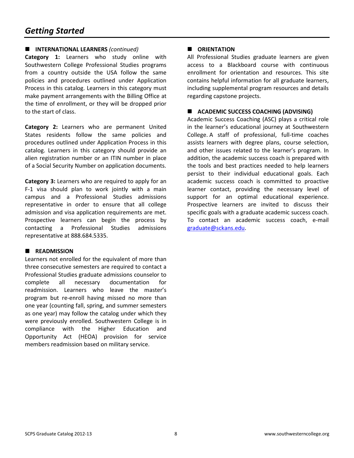#### **INTERNATIONAL LEARNERS** *(continued)*

**Category 1:** Learners who study online with Southwestern College Professional Studies programs from a country outside the USA follow the same policies and procedures outlined under Application Process in this catalog. Learners in this category must make payment arrangements with the Billing Office at the time of enrollment, or they will be dropped prior to the start of class.

**Category 2:** Learners who are permanent United States residents follow the same policies and procedures outlined under Application Process in this catalog. Learners in this category should provide an alien registration number or an ITIN number in place of a Social Security Number on application documents.

**Category 3:** Learners who are required to apply for an F-1 visa should plan to work jointly with a main campus and a Professional Studies admissions representative in order to ensure that all college admission and visa application requirements are met. Prospective learners can begin the process by contacting a Professional Studies admissions representative at 888.684.5335.

#### **READMISSION**

Learners not enrolled for the equivalent of more than three consecutive semesters are required to contact a Professional Studies graduate admissions counselor to complete all necessary documentation for readmission. Learners who leave the master's program but re-enroll having missed no more than one year (counting fall, spring, and summer semesters as one year) may follow the catalog under which they were previously enrolled. Southwestern College is in compliance with the Higher Education and Opportunity Act (HEOA) provision for service members readmission based on military service.

#### $\blacksquare$  **ORIENTATION**

All Professional Studies graduate learners are given access to a Blackboard course with continuous enrollment for orientation and resources. This site contains helpful information for all graduate learners, including supplemental program resources and details regarding capstone projects.

#### **ACADEMIC SUCCESS COACHING (ADVISING)**

Academic Success Coaching (ASC) plays a critical role in the learner's educational journey at Southwestern College. A staff of professional, full-time coaches assists learners with degree plans, course selection, and other issues related to the learner's program. In addition, the academic success coach is prepared with the tools and best practices needed to help learners persist to their individual educational goals. Each academic success coach is committed to proactive learner contact, providing the necessary level of support for an optimal educational experience. Prospective learners are invited to discuss their specific goals with a graduate academic success coach. To contact an academic success coach, e-mail graduate@sckans.edu.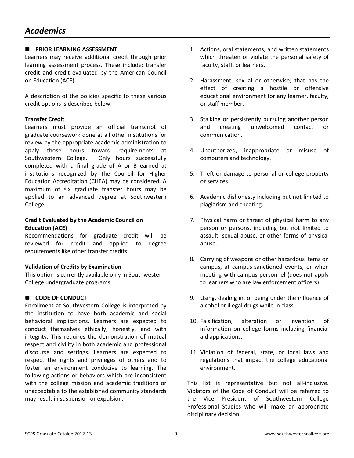#### **PRIOR LEARNING ASSESSMENT**

Learners may receive additional credit through prior learning assessment process. These include: transfer credit and credit evaluated by the American Council on Education (ACE).

A description of the policies specific to these various credit options is described below.

#### **Transfer Credit**

Learners must provide an official transcript of graduate coursework done at all other institutions for review by the appropriate academic administration to apply those hours toward requirements at Southwestern College. Only hours successfully completed with a final grade of A or B earned at institutions recognized by the Council for Higher Education Accreditation (CHEA) may be considered. A maximum of six graduate transfer hours may be applied to an advanced degree at Southwestern College.

#### **Credit Evaluated by the Academic Council on Education (ACE)**

Recommendations for graduate credit will be reviewed for credit and applied to degree requirements like other transfer credits.

#### **Validation of Credits by Examination**

This option is currently available only in Southwestern College undergraduate programs.

#### **CODE OF CONDUCT**

Enrollment at Southwestern College is interpreted by the institution to have both academic and social behavioral implications. Learners are expected to conduct themselves ethically, honestly, and with integrity. This requires the demonstration of mutual respect and civility in both academic and professional discourse and settings. Learners are expected to respect the rights and privileges of others and to foster an environment conducive to learning. The following actions or behaviors which are inconsistent with the college mission and academic traditions or unacceptable to the established community standards may result in suspension or expulsion.

- 1. Actions, oral statements, and written statements which threaten or violate the personal safety of faculty, staff, or learners.
- 2. Harassment, sexual or otherwise, that has the effect of creating a hostile or offensive educational environment for any learner, faculty, or staff member.
- 3. Stalking or persistently pursuing another person and creating unwelcomed contact or communication.
- 4. Unauthorized, inappropriate or misuse of computers and technology.
- 5. Theft or damage to personal or college property or services.
- 6. Academic dishonesty including but not limited to plagiarism and cheating.
- 7. Physical harm or threat of physical harm to any person or persons, including but not limited to assault, sexual abuse, or other forms of physical abuse.
- 8. Carrying of weapons or other hazardous items on campus, at campus-sanctioned events, or when meeting with campus personnel (does not apply to learners who are law enforcement officers).
- 9. Using, dealing in, or being under the influence of alcohol or illegal drugs while in class.
- 10. Falsification, alteration or invention of information on college forms including financial aid applications.
- 11. Violation of federal, state, or local laws and regulations that impact the college educational environment.

This list is representative but not all-inclusive. Violators of the Code of Conduct will be referred to the Vice President of Southwestern College Professional Studies who will make an appropriate disciplinary decision.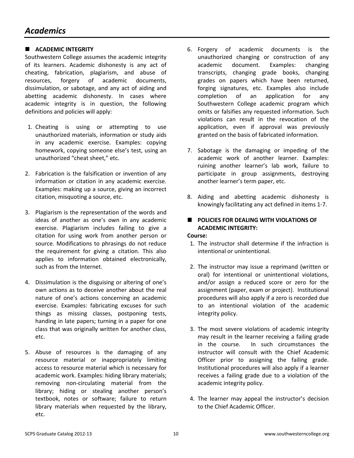#### $\blacksquare$  ACADEMIC INTEGRITY

Southwestern College assumes the academic integrity of its learners. Academic dishonesty is any act of cheating, fabrication, plagiarism, and abuse of resources, forgery of academic documents, dissimulation, or sabotage, and any act of aiding and abetting academic dishonesty. In cases where academic integrity is in question, the following definitions and policies will apply:

- 1. Cheating is using or attempting to use unauthorized materials, information or study aids in any academic exercise. Examples: copying homework, copying someone else's test, using an unauthorized "cheat sheet," etc.
- 2. Fabrication is the falsification or invention of any information or citation in any academic exercise. Examples: making up a source, giving an incorrect citation, misquoting a source, etc.
- 3. Plagiarism is the representation of the words and ideas of another as one's own in any academic exercise. Plagiarism includes failing to give a citation for using work from another person or source. Modifications to phrasings do not reduce the requirement for giving a citation. This also applies to information obtained electronically, such as from the Internet.
- 4. Dissimulation is the disguising or altering of one's own actions as to deceive another about the real nature of one's actions concerning an academic exercise. Examples: fabricating excuses for such things as missing classes, postponing tests, handing in late papers; turning in a paper for one class that was originally written for another class, etc.
- 5. Abuse of resources is the damaging of any resource material or inappropriately limiting access to resource material which is necessary for academic work. Examples: hiding library materials; removing non-circulating material from the library; hiding or stealing another person's textbook, notes or software; failure to return library materials when requested by the library, etc.
- 6. Forgery of academic documents is the unauthorized changing or construction of any academic document. Examples: changing transcripts, changing grade books, changing grades on papers which have been returned, forging signatures, etc. Examples also include completion of an application for any Southwestern College academic program which omits or falsifies any requested information. Such violations can result in the revocation of the application, even if approval was previously granted on the basis of fabricated information.
- 7. Sabotage is the damaging or impeding of the academic work of another learner. Examples: ruining another learner's lab work, failure to participate in group assignments, destroying another learner's term paper, etc.
- 8. Aiding and abetting academic dishonesty is knowingly facilitating any act defined in items 1-7.

### **POLICIES FOR DEALING WITH VIOLATIONS OF ACADEMIC INTEGRITY:**

#### **Course:**

- 1. The instructor shall determine if the infraction is intentional or unintentional.
- 2. The instructor may issue a reprimand (written or oral) for intentional or unintentional violations, and/or assign a reduced score or zero for the assignment (paper, exam or project). Institutional procedures will also apply if a zero is recorded due to an intentional violation of the academic integrity policy.
- 3. The most severe violations of academic integrity may result in the learner receiving a failing grade in the course. In such circumstances the instructor will consult with the Chief Academic Officer prior to assigning the failing grade. Institutional procedures will also apply if a learner receives a failing grade due to a violation of the academic integrity policy.
- 4. The learner may appeal the instructor's decision to the Chief Academic Officer.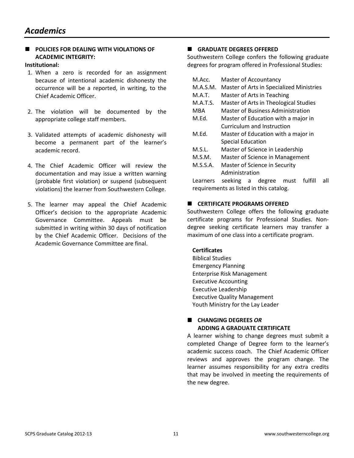#### **E** POLICIES FOR DEALING WITH VIOLATIONS OF **ACADEMIC INTEGRITY:**

#### **Institutional:**

- 1. When a zero is recorded for an assignment because of intentional academic dishonesty the occurrence will be a reported, in writing, to the Chief Academic Officer.
- 2. The violation will be documented by the appropriate college staff members.
- 3. Validated attempts of academic dishonesty will become a permanent part of the learner's academic record.
- 4. The Chief Academic Officer will review the documentation and may issue a written warning (probable first violation) or suspend (subsequent violations) the learner from Southwestern College.
- 5. The learner may appeal the Chief Academic Officer's decision to the appropriate Academic Governance Committee. Appeals must be submitted in writing within 30 days of notification by the Chief Academic Officer. Decisions of the Academic Governance Committee are final.

#### **GRADUATE DEGREES OFFERED**

Southwestern College confers the following graduate degrees for program offered in Professional Studies:

- M.Acc. Master of Accountancy
- M.A.S.M. Master of Arts in Specialized Ministries
- M.A.T. Master of Arts in Teaching
- M.A.T.S. Master of Arts in Theological Studies
- MBA Master of Business Administration
- M.Ed. Master of Education with a major in Curriculum and Instruction
- M.Ed. Master of Education with a major in Special Education
- M.S.L. Master of Science in Leadership
- M.S.M. Master of Science in Management
- M.S.S.A. Master of Science in Security Administration

Learners seeking a degree must fulfill all requirements as listed in this catalog.

#### **E** CERTIFICATE PROGRAMS OFFERED

Southwestern College offers the following graduate certificate programs for Professional Studies. Nondegree seeking certificate learners may transfer a maximum of one class into a certificate program.

#### **Certificates**

Biblical Studies Emergency Planning Enterprise Risk Management Executive Accounting Executive Leadership Executive Quality Management Youth Ministry for the Lay Leader

#### **CHANGING DEGREES** *OR*   **ADDING A GRADUATE CERTIFICATE**

A learner wishing to change degrees must submit a completed Change of Degree form to the learner's academic success coach. The Chief Academic Officer reviews and approves the program change. The learner assumes responsibility for any extra credits that may be involved in meeting the requirements of the new degree.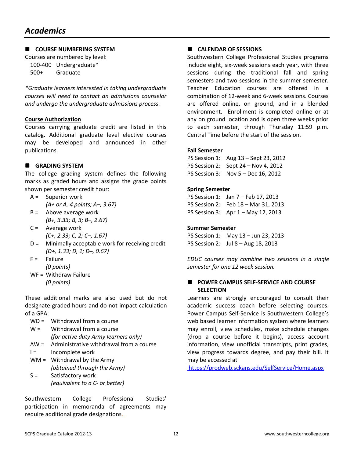#### **E** COURSE NUMBERING SYSTEM

Courses are numbered by level:

100-400 Undergraduate\*

500+ Graduate

*\*Graduate learners interested in taking undergraduate courses will need to contact an admissions counselor and undergo the undergraduate admissions process.* 

#### **Course Authorization**

Courses carrying graduate credit are listed in this catalog. Additional graduate level elective courses may be developed and announced in other publications.

#### **GRADING SYSTEM**

The college grading system defines the following marks as graded hours and assigns the grade points shown per semester credit hour:

- A = Superior work  *(A+ or A, 4 points; A–, 3.67)*
- $B =$  Above average work  *(B+, 3.33; B, 3; B–, 2.67)*
- C = Average work  *(C+, 2.33; C, 2; C–, 1.67)*
- D = Minimally acceptable work for receiving credit  *(D+, 1.33; D, 1; D–, 0.67)*
- $F =$  Failure
- *(0 points)*  WF = Withdraw Failure
	- *(0 points)*

These additional marks are also used but do not designate graded hours and do not impact calculation of a GPA:

- WD = Withdrawal from a course
- $W =$  Withdrawal from a course  *(for active duty Army learners only)*
- AW = Administrative withdrawal from a course
- I = Incomplete work
- WM = Withdrawal by the Army *(obtained through the Army)*
- S = Satisfactory work *(equivalent to a C- or better)*

Southwestern College Professional Studies' participation in memoranda of agreements may require additional grade designations.

#### **CALENDAR OF SESSIONS**

Southwestern College Professional Studies programs include eight, six-week sessions each year, with three sessions during the traditional fall and spring semesters and two sessions in the summer semester. Teacher Education courses are offered in a combination of 12-week and 6-week sessions. Courses are offered online, on ground, and in a blended environment. Enrollment is completed online or at any on ground location and is open three weeks prior to each semester, through Thursday 11:59 p.m. Central Time before the start of the session.

#### **Fall Semester**

PS Session 1: Aug 13 – Sept 23, 2012 PS Session 2: Sept 24 – Nov 4, 2012 PS Session 3: Nov 5 – Dec 16, 2012

#### **Spring Semester**

PS Session 1: Jan 7 – Feb 17, 2013 PS Session 2: Feb 18 – Mar 31, 2013 PS Session 3: Apr 1 – May 12, 2013

#### **Summer Semester**

PS Session 1: May 13 – Jun 23, 2013 PS Session 2: Jul 8 – Aug 18, 2013

*EDUC courses may combine two sessions in a single semester for one 12 week session.* 

#### **POWER CAMPUS SELF-SERVICE AND COURSE SELECTION**

Learners are strongly encouraged to consult their academic success coach before selecting courses. Power Campus Self-Service is Southwestern College's web based learner information system where learners may enroll, view schedules, make schedule changes (drop a course before it begins), access account information, view unofficial transcripts, print grades, view progress towards degree, and pay their bill. It may be accessed at

https://prodweb.sckans.edu/SelfService/Home.aspx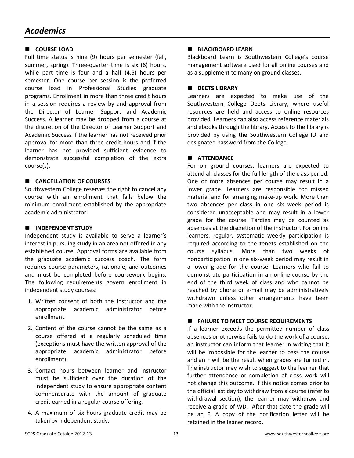#### **COURSE LOAD**

Full time status is nine (9) hours per semester (fall, summer, spring). Three-quarter time is six (6) hours, while part time is four and a half (4.5) hours per semester. One course per session is the preferred course load in Professional Studies graduate programs. Enrollment in more than three credit hours in a session requires a review by and approval from the Director of Learner Support and Academic Success. A learner may be dropped from a course at the discretion of the Director of Learner Support and Academic Success if the learner has not received prior approval for more than three credit hours and if the learner has not provided sufficient evidence to demonstrate successful completion of the extra course(s).

#### **CANCELLATION OF COURSES**

Southwestern College reserves the right to cancel any course with an enrollment that falls below the minimum enrollment established by the appropriate academic administrator.

#### **NUMBER INDEPENDENT STUDY**

Independent study is available to serve a learner's interest in pursuing study in an area not offered in any established course. Approval forms are available from the graduate academic success coach. The form requires course parameters, rationale, and outcomes and must be completed before coursework begins. The following requirements govern enrollment in independent study courses:

- 1. Written consent of both the instructor and the appropriate academic administrator before enrollment.
- 2. Content of the course cannot be the same as a course offered at a regularly scheduled time (exceptions must have the written approval of the appropriate academic administrator before enrollment).
- 3. Contact hours between learner and instructor must be sufficient over the duration of the independent study to ensure appropriate content commensurate with the amount of graduate credit earned in a regular course offering.
- 4. A maximum of six hours graduate credit may be taken by independent study.

#### **BLACKBOARD LEARN**

Blackboard Learn is Southwestern College's course management software used for all online courses and as a supplement to many on ground classes.

#### **B** DEETS LIBRARY

Learners are expected to make use of the Southwestern College Deets Library, where useful resources are held and access to online resources provided. Learners can also access reference materials and ebooks through the library. Access to the library is provided by using the Southwestern College ID and designated password from the College.

#### **ATTENDANCE**

For on ground courses, learners are expected to attend all classes for the full length of the class period. One or more absences per course may result in a lower grade. Learners are responsible for missed material and for arranging make-up work. More than two absences per class in one six week period is considered unacceptable and may result in a lower grade for the course. Tardies may be counted as absences at the discretion of the instructor. For online learners, regular, systematic weekly participation is required according to the tenets established on the course syllabus. More than two weeks of nonparticipation in one six-week period may result in a lower grade for the course. Learners who fail to demonstrate participation in an online course by the end of the third week of class and who cannot be reached by phone or e-mail may be administratively withdrawn unless other arrangements have been made with the instructor.

#### **FAILURE TO MEET COURSE REQUIREMENTS**

If a learner exceeds the permitted number of class absences or otherwise fails to do the work of a course, an instructor can inform that learner in writing that it will be impossible for the learner to pass the course and an F will be the result when grades are turned in. The instructor may wish to suggest to the learner that further attendance or completion of class work will not change this outcome. If this notice comes prior to the official last day to withdraw from a course (refer to withdrawal section), the learner may withdraw and receive a grade of WD. After that date the grade will be an F. A copy of the notification letter will be retained in the leaner record.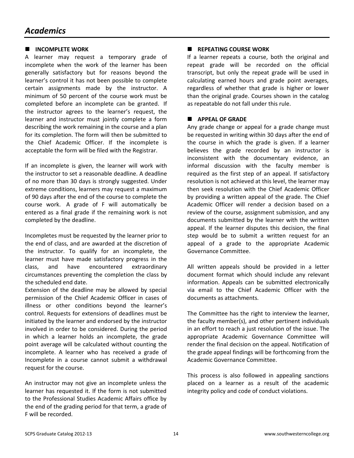#### $\blacksquare$  **INCOMPLETE WORK**

A learner may request a temporary grade of incomplete when the work of the learner has been generally satisfactory but for reasons beyond the learner's control it has not been possible to complete certain assignments made by the instructor. A minimum of 50 percent of the course work must be completed before an incomplete can be granted. If the instructor agrees to the learner's request, the learner and instructor must jointly complete a form describing the work remaining in the course and a plan for its completion. The form will then be submitted to the Chief Academic Officer. If the incomplete is acceptable the form will be filed with the Registrar.

If an incomplete is given, the learner will work with the instructor to set a reasonable deadline. A deadline of no more than 30 days is strongly suggested. Under extreme conditions, learners may request a maximum of 90 days after the end of the course to complete the course work. A grade of F will automatically be entered as a final grade if the remaining work is not completed by the deadline.

Incompletes must be requested by the learner prior to the end of class, and are awarded at the discretion of the instructor. To qualify for an incomplete, the learner must have made satisfactory progress in the class, and have encountered extraordinary circumstances preventing the completion the class by the scheduled end date.

Extension of the deadline may be allowed by special permission of the Chief Academic Officer in cases of illness or other conditions beyond the learner's control. Requests for extensions of deadlines must be initiated by the learner and endorsed by the instructor involved in order to be considered. During the period in which a learner holds an incomplete, the grade point average will be calculated without counting the incomplete. A learner who has received a grade of Incomplete in a course cannot submit a withdrawal request for the course.

An instructor may not give an incomplete unless the learner has requested it. If the form is not submitted to the Professional Studies Academic Affairs office by the end of the grading period for that term, a grade of F will be recorded.

#### **REPEATING COURSE WORK**

If a learner repeats a course, both the original and repeat grade will be recorded on the official transcript, but only the repeat grade will be used in calculating earned hours and grade point averages, regardless of whether that grade is higher or lower than the original grade. Courses shown in the catalog as repeatable do not fall under this rule.

#### **APPEAL OF GRADE**

Any grade change or appeal for a grade change must be requested in writing within 30 days after the end of the course in which the grade is given. If a learner believes the grade recorded by an instructor is inconsistent with the documentary evidence, an informal discussion with the faculty member is required as the first step of an appeal. If satisfactory resolution is not achieved at this level, the learner may then seek resolution with the Chief Academic Officer by providing a written appeal of the grade. The Chief Academic Officer will render a decision based on a review of the course, assignment submission, and any documents submitted by the learner with the written appeal. If the learner disputes this decision, the final step would be to submit a written request for an appeal of a grade to the appropriate Academic Governance Committee.

All written appeals should be provided in a letter document format which should include any relevant information. Appeals can be submitted electronically via email to the Chief Academic Officer with the documents as attachments.

The Committee has the right to interview the learner, the faculty member(s), and other pertinent individuals in an effort to reach a just resolution of the issue. The appropriate Academic Governance Committee will render the final decision on the appeal. Notification of the grade appeal findings will be forthcoming from the Academic Governance Committee.

This process is also followed in appealing sanctions placed on a learner as a result of the academic integrity policy and code of conduct violations.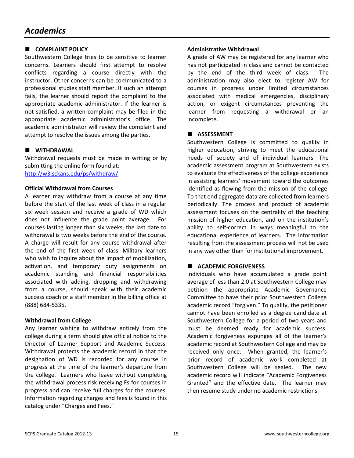#### **COMPLAINT POLICY**

Southwestern College tries to be sensitive to learner concerns. Learners should first attempt to resolve conflicts regarding a course directly with the instructor. Other concerns can be communicated to a professional studies staff member. If such an attempt fails, the learner should report the complaint to the appropriate academic administrator. If the learner is not satisfied, a written complaint may be filed in the appropriate academic administrator's office. The academic administrator will review the complaint and attempt to resolve the issues among the parties.

#### **WITHDRAWAL**

Withdrawal requests must be made in writing or by submitting the online form found at: http://w3.sckans.edu/ps/withdraw/.

#### **Official Withdrawal from Courses**

A learner may withdraw from a course at any time before the start of the last week of class in a regular six week session and receive a grade of WD which does not influence the grade point average. For courses lasting longer than six weeks, the last date to withdrawal is two weeks before the end of the course. A charge will result for any course withdrawal after the end of the first week of class. Military learners who wish to inquire about the impact of mobilization, activation, and temporary duty assignments on academic standing and financial responsibilities associated with adding, dropping and withdrawing from a course, should speak with their academic success coach or a staff member in the billing office at (888) 684-5335.

#### **Withdrawal from College**

Any learner wishing to withdraw entirely from the college during a term should give official notice to the Director of Learner Support and Academic Success. Withdrawal protects the academic record in that the designation of WD is recorded for any course in progress at the time of the learner's departure from the college. Learners who leave without completing the withdrawal process risk receiving Fs for courses in progress and can receive full charges for the courses. Information regarding charges and fees is found in this catalog under "Charges and Fees."

#### **Administrative Withdrawal**

A grade of AW may be registered for any learner who has not participated in class and cannot be contacted by the end of the third week of class. The administration may also elect to register AW for courses in progress under limited circumstances associated with medical emergencies, disciplinary action, or exigent circumstances preventing the learner from requesting a withdrawal or an incomplete.

#### **ASSESSMENT**

Southwestern College is committed to quality in higher education, striving to meet the educational needs of society and of individual learners. The academic assessment program at Southwestern exists to evaluate the effectiveness of the college experience in assisting learners' movement toward the outcomes identified as flowing from the mission of the college. To that end aggregate data are collected from learners periodically. The process and product of academic assessment focuses on the centrality of the teaching mission of higher education, and on the institution's ability to self-correct in ways meaningful to the educational experience of learners. The information resulting from the assessment process will not be used in any way other than for institutional improvement.

#### **E** ACADEMIC FORGIVENESS

Individuals who have accumulated a grade point average of less than 2.0 at Southwestern College may petition the appropriate Academic Governance Committee to have their prior Southwestern College academic record "forgiven." To qualify, the petitioner cannot have been enrolled as a degree candidate at Southwestern College for a period of two years and must be deemed ready for academic success. Academic forgiveness expunges all of the learner's academic record at Southwestern College and may be received only once. When granted, the learner's prior record of academic work completed at Southwestern College will be sealed. The new academic record will indicate "Academic Forgiveness Granted" and the effective date. The learner may then resume study under no academic restrictions.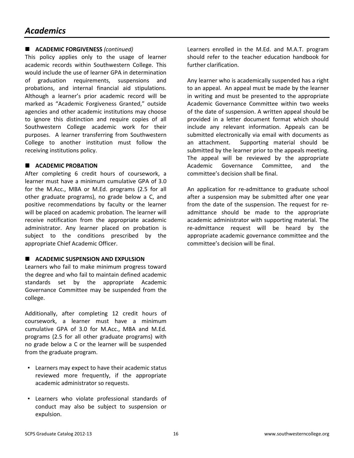#### **ACADEMIC FORGIVENESS** *(continued)*

This policy applies only to the usage of learner academic records within Southwestern College. This would include the use of learner GPA in determination of graduation requirements, suspensions and probations, and internal financial aid stipulations. Although a learner's prior academic record will be marked as "Academic Forgiveness Granted," outside agencies and other academic institutions may choose to ignore this distinction and require copies of all Southwestern College academic work for their purposes. A learner transferring from Southwestern College to another institution must follow the receiving institutions policy.

#### $\blacksquare$  **ACADEMIC PROBATION**

After completing 6 credit hours of coursework, a learner must have a minimum cumulative GPA of 3.0 for the M.Acc., MBA or M.Ed. programs (2.5 for all other graduate programs), no grade below a C, and positive recommendations by faculty or the learner will be placed on academic probation. The learner will receive notification from the appropriate academic administrator. Any learner placed on probation is subject to the conditions prescribed by the appropriate Chief Academic Officer.

#### **E** ACADEMIC SUSPENSION AND EXPULSION

Learners who fail to make minimum progress toward the degree and who fail to maintain defined academic standards set by the appropriate Academic Governance Committee may be suspended from the college.

Additionally, after completing 12 credit hours of coursework, a learner must have a minimum cumulative GPA of 3.0 for M.Acc., MBA and M.Ed. programs (2.5 for all other graduate programs) with no grade below a C or the learner will be suspended from the graduate program.

- Learners may expect to have their academic status reviewed more frequently, if the appropriate academic administrator so requests.
- Learners who violate professional standards of conduct may also be subject to suspension or expulsion.

Learners enrolled in the M.Ed. and M.A.T. program should refer to the teacher education handbook for further clarification.

Any learner who is academically suspended has a right to an appeal. An appeal must be made by the learner in writing and must be presented to the appropriate Academic Governance Committee within two weeks of the date of suspension. A written appeal should be provided in a letter document format which should include any relevant information. Appeals can be submitted electronically via email with documents as an attachment. Supporting material should be submitted by the learner prior to the appeals meeting. The appeal will be reviewed by the appropriate Academic Governance Committee, and the committee's decision shall be final.

An application for re-admittance to graduate school after a suspension may be submitted after one year from the date of the suspension. The request for readmittance should be made to the appropriate academic administrator with supporting material. The re-admittance request will be heard by the appropriate academic governance committee and the committee's decision will be final.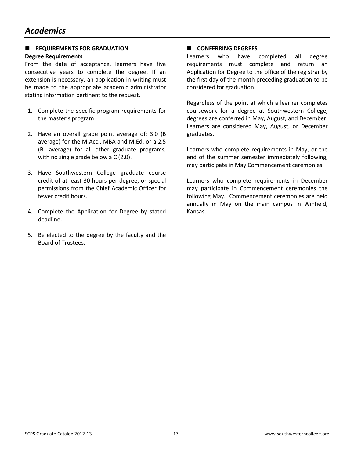#### **E** REQUIREMENTS FOR GRADUATION **Degree Requirements**

From the date of acceptance, learners have five consecutive years to complete the degree. If an extension is necessary, an application in writing must be made to the appropriate academic administrator stating information pertinent to the request.

- 1. Complete the specific program requirements for the master's program.
- 2. Have an overall grade point average of: 3.0 (B average) for the M.Acc., MBA and M.Ed. or a 2.5 (B- average) for all other graduate programs, with no single grade below a C (2.0).
- 3. Have Southwestern College graduate course credit of at least 30 hours per degree, or special permissions from the Chief Academic Officer for fewer credit hours.
- 4. Complete the Application for Degree by stated deadline.
- 5. Be elected to the degree by the faculty and the Board of Trustees.

#### **E** CONFERRING DEGREES

Learners who have completed all degree requirements must complete and return an Application for Degree to the office of the registrar by the first day of the month preceding graduation to be considered for graduation.

Regardless of the point at which a learner completes coursework for a degree at Southwestern College, degrees are conferred in May, August, and December. Learners are considered May, August, or December graduates.

Learners who complete requirements in May, or the end of the summer semester immediately following, may participate in May Commencement ceremonies.

Learners who complete requirements in December may participate in Commencement ceremonies the following May. Commencement ceremonies are held annually in May on the main campus in Winfield, Kansas.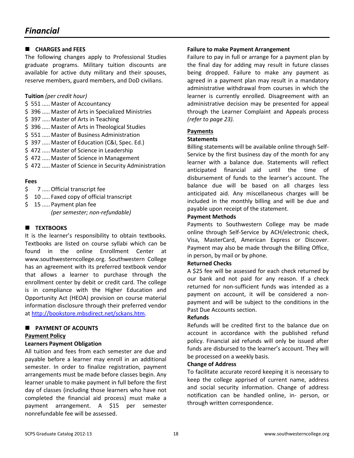#### **CHARGES and FEES**

The following changes apply to Professional Studies graduate programs. Military tuition discounts are available for active duty military and their spouses, reserve members, guard members, and DoD civilians.

#### **Tuition** *(per credit hour)*

- \$ 551 ..... Master of Accountancy
- \$ 396 ..... Master of Arts in Specialized Ministries
- \$397 ..... Master of Arts in Teaching
- \$ 396 ..... Master of Arts in Theological Studies
- \$ 551 ..... Master of Business Administration
- \$ 397 ..... Master of Education (C&I, Spec. Ed.)
- \$ 472 ..... Master of Science in Leadership
- \$ 472 ..... Master of Science in Management
- \$ 472 ..... Master of Science in Security Administration

#### **Fees**

- \$ 7 ..... Official transcript fee
- \$ 10 ..... Faxed copy of official transcript
- \$ 15 ..... Payment plan fee

 *(per semester; non-refundable)* 

#### **E** TEXTBOOKS

It is the learner's responsibility to obtain textbooks. Textbooks are listed on course syllabi which can be found in the online Enrollment Center at www.southwesterncollege.org. Southwestern College has an agreement with its preferred textbook vendor that allows a learner to purchase through the enrollment center by debit or credit card. The college is in compliance with the Higher Education and Opportunity Act (HEOA) provision on course material information disclosure through their preferred vendor at http://bookstore.mbsdirect.net/sckans.htm.

#### **E** PAYMENT OF ACOUNTS **Payment Policy**

#### **Learners Payment Obligation**

All tuition and fees from each semester are due and payable before a learner may enroll in an additional semester. In order to finalize registration, payment arrangements must be made before classes begin. Any learner unable to make payment in full before the first day of classes (including those learners who have not completed the financial aid process) must make a payment arrangement. A \$15 per semester nonrefundable fee will be assessed.

#### **Failure to make Payment Arrangement**

Failure to pay in full or arrange for a payment plan by the final day for adding may result in future classes being dropped. Failure to make any payment as agreed in a payment plan may result in a mandatory administrative withdrawal from courses in which the learner is currently enrolled. Disagreement with an administrative decision may be presented for appeal through the Learner Complaint and Appeals process *(refer to page 23).*

#### **Payments**

#### **Statements**

Billing statements will be available online through Self-Service by the first business day of the month for any learner with a balance due. Statements will reflect anticipated financial aid until the time of disbursement of funds to the learner's account. The balance due will be based on all charges less anticipated aid. Any miscellaneous charges will be included in the monthly billing and will be due and payable upon receipt of the statement.

#### **Payment Methods**

Payments to Southwestern College may be made online through Self-Service by ACH/electronic check, Visa, MasterCard, American Express or Discover. Payment may also be made through the Billing Office, in person, by mail or by phone.

#### **Returned Checks**

A \$25 fee will be assessed for each check returned by our bank and not paid for any reason. If a check returned for non-sufficient funds was intended as a payment on account, it will be considered a nonpayment and will be subject to the conditions in the Past Due Accounts section.

#### **Refunds**

Refunds will be credited first to the balance due on account in accordance with the published refund policy. Financial aid refunds will only be issued after funds are disbursed to the learner's account. They will be processed on a weekly basis.

#### **Change of Address**

To facilitate accurate record keeping it is necessary to keep the college apprised of current name, address and social security information. Change of address notification can be handled online, in- person, or through written correspondence.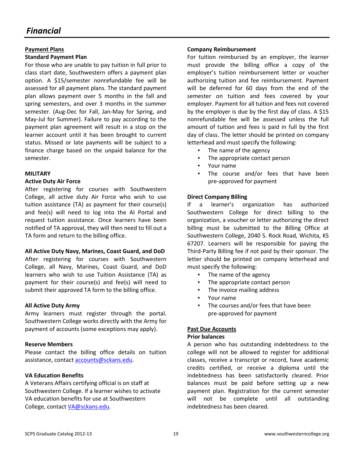#### **Payment Plans Standard Payment Plan**

For those who are unable to pay tuition in full prior to class start date, Southwestern offers a payment plan option. A \$15/semester nonrefundable fee will be assessed for all payment plans. The standard payment plan allows payment over 5 months in the fall and spring semesters, and over 3 months in the summer semester. (Aug-Dec for Fall, Jan-May for Spring, and May-Jul for Summer). Failure to pay according to the payment plan agreement will result in a stop on the learner account until it has been brought to current status. Missed or late payments will be subject to a finance charge based on the unpaid balance for the semester.

#### **MILITARY**

#### **Active Duty Air Force**

After registering for courses with Southwestern College, all active duty Air Force who wish to use tuition assistance (TA) as payment for their course(s) and fee(s) will need to log into the AI Portal and request tuition assistance. Once learners have been notified of TA approval, they will then need to fill out a TA form and return to the billing office.

#### **All Active Duty Navy, Marines, Coast Guard, and DoD**

After registering for courses with Southwestern College, all Navy, Marines, Coast Guard, and DoD learners who wish to use Tuition Assistance (TA) as payment for their course(s) and fee(s) will need to submit their approved TA form to the billing office.

#### **All Active Duty Army**

Army learners must register through the portal. Southwestern College works directly with the Army for payment of accounts (some exceptions may apply).

#### **Reserve Members**

Please contact the billing office details on tuition assistance, contact accounts@sckans.edu.

#### **VA Education Benefits**

A Veterans Affairs certifying official is on staff at Southwestern College. If a learner wishes to activate VA education benefits for use at Southwestern College, contact VA@sckans.edu.

#### **Company Reimbursement**

For tuition reimbursed by an employer, the learner must provide the billing office a copy of the employer's tuition reimbursement letter or voucher authorizing tuition and fee reimbursement. Payment will be deferred for 60 days from the end of the semester on tuition and fees covered by your employer. Payment for all tuition and fees not covered by the employer is due by the first day of class. A \$15 nonrefundable fee will be assessed unless the full amount of tuition and fees is paid in full by the first day of class. The letter should be printed on company letterhead and must specify the following:

- The name of the agency
- The appropriate contact person
- Your name
- The course and/or fees that have been pre-approved for payment

#### **Direct Company Billing**

If a learner's organization has authorized Southwestern College for direct billing to the organization, a voucher or letter authorizing the direct billing must be submitted to the Billing Office at Southwestern College, 2040 S. Rock Road, Wichita, KS 67207. Learners will be responsible for paying the Third-Party Billing fee if not paid by their sponsor. The letter should be printed on company letterhead and must specify the following:

- The name of the agency
- The appropriate contact person
- The invoice mailing address
- Your name
- The courses and/or fees that have been pre-approved for payment

#### **Past Due Accounts**

#### **Prior balances**

A person who has outstanding indebtedness to the college will not be allowed to register for additional classes, receive a transcript or record, have academic credits certified, or receive a diploma until the indebtedness has been satisfactorily cleared. Prior balances must be paid before setting up a new payment plan. Registration for the current semester will not be complete until all outstanding indebtedness has been cleared.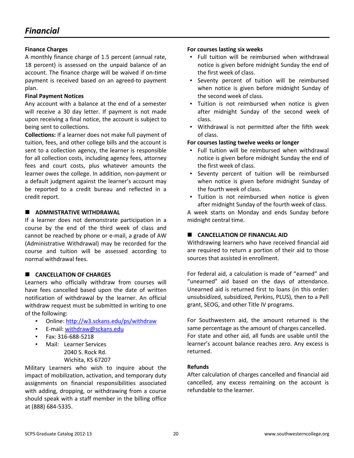#### **Finance Charges**

A monthly finance charge of 1.5 percent (annual rate, 18 percent) is assessed on the unpaid balance of an account. The finance charge will be waived if on-time payment is received based on an agreed-to payment plan.

#### **Final Payment Notices**

Any account with a balance at the end of a semester will receive a 30 day letter. If payment is not made upon receiving a final notice, the account is subject to being sent to collections.

**Collections:** If a learner does not make full payment of tuition, fees, and other college bills and the account is sent to a collection agency, the learner is responsible for all collection costs, including agency fees, attorney fees and court costs, plus whatever amounts the learner owes the college. In addition, non-payment or a default judgment against the learner's account may be reported to a credit bureau and reflected in a credit report.

#### $\blacksquare$  ADMNISTRATIVE WITHDRAWAL

If a learner does not demonstrate participation in a course by the end of the third week of class and cannot be reached by phone or e-mail, a grade of AW (Administrative Withdrawal) may be recorded for the course and tuition will be assessed according to normal withdrawal fees.

#### **E** CANCELLATION OF CHARGES

Learners who officially withdraw from courses will have fees cancelled based upon the date of written notification of withdrawal by the learner. An official withdraw request must be submitted in writing to one of the following:

- Online: http://w3.sckans.edu/ps/withdraw
- E-mail: withdraw@sckans.edu
- Fax: 316-688-5218
- Mail: Learner Services 2040 S. Rock Rd. Wichita, KS 67207

Military Learners who wish to inquire about the impact of mobilization, activation, and temporary duty assignments on financial responsibilities associated with adding, dropping, or withdrawing from a course should speak with a staff member in the billing office at (888) 684-5335.

#### **For courses lasting six weeks**

- Full tuition will be reimbursed when withdrawal notice is given before midnight Sunday the end of the first week of class.
- Seventy percent of tuition will be reimbursed when notice is given before midnight Sunday of the second week of class.
- Tuition is not reimbursed when notice is given after midnight Sunday of the second week of class.
- Withdrawal is not permitted after the fifth week of class.

#### **For courses lasting twelve weeks or longer**

- Full tuition will be reimbursed when withdrawal notice is given before midnight Sunday the end of the first week of class.
- Seventy percent of tuition will be reimbursed when notice is given before midnight Sunday of the fourth week of class.
- Tuition is not reimbursed when notice is given after midnight Sunday of the fourth week of class.

A week starts on Monday and ends Sunday before midnight central time.

#### **E** CANCELLATION OF FINANCIAL AID

Withdrawing learners who have received financial aid are required to return a portion of their aid to those sources that assisted in enrollment.

For federal aid, a calculation is made of "earned" and "unearned" aid based on the days of attendance. Unearned aid is returned first to loans (in this order: unsubsidized, subsidized, Perkins, PLUS), then to a Pell grant, SEOG, and other Title IV programs.

For Southwestern aid, the amount returned is the same percentage as the amount of charges cancelled. For state and other aid, all funds are usable until the learner's account balance reaches zero. Any excess is returned.

#### **Refunds**

After calculation of charges cancelled and financial aid cancelled, any excess remaining on the account is refundable to the learner.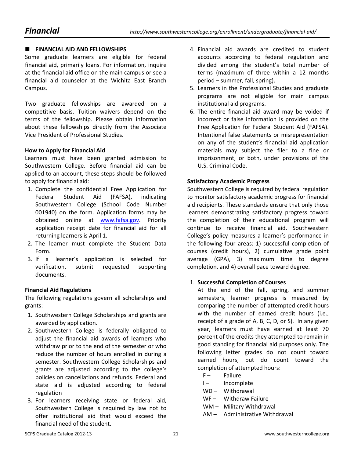#### **FINANCIAL AID AND FELLOWSHIPS**

Some graduate learners are eligible for federal financial aid, primarily loans. For information, inquire at the financial aid office on the main campus or see a financial aid counselor at the Wichita East Branch Campus.

Two graduate fellowships are awarded on a competitive basis. Tuition waivers depend on the terms of the fellowship. Please obtain information about these fellowships directly from the Associate Vice President of Professional Studies.

#### **How to Apply for Financial Aid**

Learners must have been granted admission to Southwestern College. Before financial aid can be applied to an account, these steps should be followed to apply for financial aid:

- 1. Complete the confidential Free Application for Federal Student Aid (FAFSA), indicating Southwestern College (School Code Number 001940) on the form. Application forms may be obtained online at www.fafsa.gov. Priority application receipt date for financial aid for all returning learners is April 1.
- 2. The learner must complete the Student Data Form.
- 3. If a learner's application is selected for verification, submit requested supporting documents.

#### **Financial Aid Regulations**

The following regulations govern all scholarships and grants:

- 1. Southwestern College Scholarships and grants are awarded by application.
- 2. Southwestern College is federally obligated to adjust the financial aid awards of learners who withdraw prior to the end of the semester or who reduce the number of hours enrolled in during a semester. Southwestern College Scholarships and grants are adjusted according to the college's policies on cancellations and refunds. Federal and state aid is adjusted according to federal regulation
- 3. For learners receiving state or federal aid, Southwestern College is required by law not to offer institutional aid that would exceed the financial need of the student.
- 4. Financial aid awards are credited to student accounts according to federal regulation and divided among the student's total number of terms (maximum of three within a 12 months period – summer, fall, spring).
- 5. Learners in the Professional Studies and graduate programs are not eligible for main campus institutional aid programs.
- 6. The entire financial aid award may be voided if incorrect or false information is provided on the Free Application for Federal Student Aid (FAFSA). Intentional false statements or misrepresentation on any of the student's financial aid application materials may subject the filer to a fine or imprisonment, or both, under provisions of the U.S. Criminal Code.

#### **Satisfactory Academic Progress**

Southwestern College is required by federal regulation to monitor satisfactory academic progress for financial aid recipients. These standards ensure that only those learners demonstrating satisfactory progress toward the completion of their educational program will continue to receive financial aid. Southwestern College's policy measures a learner's performance in the following four areas: 1) successful completion of courses (credit hours), 2) cumulative grade point average (GPA), 3) maximum time to degree completion, and 4) overall pace toward degree.

#### 1. **Successful Completion of Courses**

At the end of the fall, spring, and summer semesters, learner progress is measured by comparing the number of attempted credit hours with the number of earned credit hours (i.e., receipt of a grade of A, B, C, D, or S). In any given year, learners must have earned at least 70 percent of the credits they attempted to remain in good standing for financial aid purposes only. The following letter grades do not count toward earned hours, but do count toward the completion of attempted hours:

- F- Failure
- I- Incomplete
- WD Withdrawal
- WF Withdraw Failure
- WM Military Withdrawal
- AM Administrative Withdrawal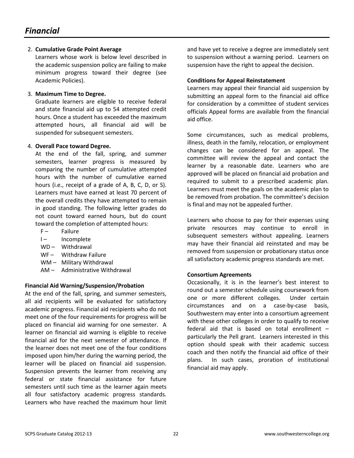#### 2. **Cumulative Grade Point Average**

Learners whose work is below level described in the academic suspension policy are failing to make minimum progress toward their degree (see Academic Policies).

#### 3. **Maximum Time to Degree.**

Graduate learners are eligible to receive federal and state financial aid up to 54 attempted credit hours. Once a student has exceeded the maximum attempted hours, all financial aid will be suspended for subsequent semesters.

#### 4. **Overall Pace toward Degree.**

At the end of the fall, spring, and summer semesters, learner progress is measured by comparing the number of cumulative attempted hours with the number of cumulative earned hours (i.e., receipt of a grade of A, B, C, D, or S). Learners must have earned at least 70 percent of the overall credits they have attempted to remain in good standing. The following letter grades do not count toward earned hours, but do count toward the completion of attempted hours:

- F- Failure
- I- Incomplete
- WD Withdrawal
- WF- Withdraw Failure
- WM Military Withdrawal
- AM Administrative Withdrawal

#### **Financial Aid Warning/Suspension/Probation**

At the end of the fall, spring, and summer semesters, all aid recipients will be evaluated for satisfactory academic progress. Financial aid recipients who do not meet one of the four requirements for progress will be placed on financial aid warning for one semester. A learner on financial aid warning is eligible to receive financial aid for the next semester of attendance. If the learner does not meet one of the four conditions imposed upon him/her during the warning period, the learner will be placed on financial aid suspension. Suspension prevents the learner from receiving any federal or state financial assistance for future semesters until such time as the learner again meets all four satisfactory academic progress standards. Learners who have reached the maximum hour limit

and have yet to receive a degree are immediately sent to suspension without a warning period. Learners on suspension have the right to appeal the decision.

#### **Conditions for Appeal Reinstatement**

Learners may appeal their financial aid suspension by submitting an appeal form to the financial aid office for consideration by a committee of student services officials Appeal forms are available from the financial aid office.

Some circumstances, such as medical problems, illness, death in the family, relocation, or employment changes can be considered for an appeal. The committee will review the appeal and contact the learner by a reasonable date. Learners who are approved will be placed on financial aid probation and required to submit to a prescribed academic plan. Learners must meet the goals on the academic plan to be removed from probation. The committee's decision is final and may not be appealed further.

Learners who choose to pay for their expenses using private resources may continue to enroll in subsequent semesters without appealing. Learners may have their financial aid reinstated and may be removed from suspension or probationary status once all satisfactory academic progress standards are met.

#### **Consortium Agreements**

Occasionally, it is in the learner's best interest to round out a semester schedule using coursework from one or more different colleges. Under certain circumstances and on a case-by-case basis, Southwestern may enter into a consortium agreement with these other colleges in order to qualify to receive federal aid that is based on total enrollment – particularly the Pell grant. Learners interested in this option should speak with their academic success coach and then notify the financial aid office of their plans. In such cases, proration of institutional financial aid may apply.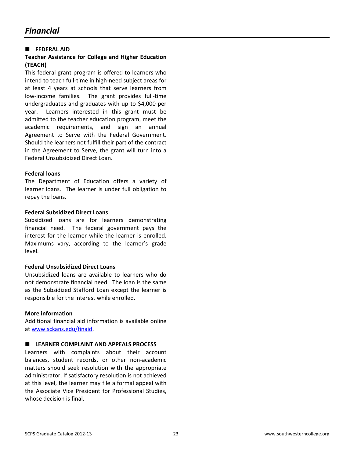#### **FEDERAL AID**

#### **Teacher Assistance for College and Higher Education (TEACH)**

This federal grant program is offered to learners who intend to teach full-time in high-need subject areas for at least 4 years at schools that serve learners from low-income families. The grant provides full-time undergraduates and graduates with up to \$4,000 per year. Learners interested in this grant must be admitted to the teacher education program, meet the academic requirements, and sign an annual Agreement to Serve with the Federal Government. Should the learners not fulfill their part of the contract in the Agreement to Serve, the grant will turn into a Federal Unsubsidized Direct Loan.

#### **Federal loans**

The Department of Education offers a variety of learner loans. The learner is under full obligation to repay the loans.

#### **Federal Subsidized Direct Loans**

Subsidized loans are for learners demonstrating financial need. The federal government pays the interest for the learner while the learner is enrolled. Maximums vary, according to the learner's grade level.

#### **Federal Unsubsidized Direct Loans**

Unsubsidized loans are available to learners who do not demonstrate financial need. The loan is the same as the Subsidized Stafford Loan except the learner is responsible for the interest while enrolled.

#### **More information**

Additional financial aid information is available online at www.sckans.edu/finaid.

#### **LEARNER COMPLAINT AND APPEALS PROCESS**

Learners with complaints about their account balances, student records, or other non-academic matters should seek resolution with the appropriate administrator. If satisfactory resolution is not achieved at this level, the learner may file a formal appeal with the Associate Vice President for Professional Studies, whose decision is final.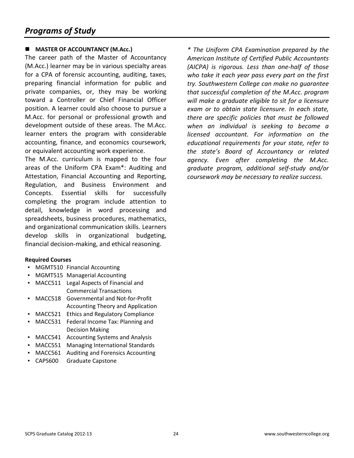#### **MASTER OF ACCOUNTANCY (M.Acc.)**

The career path of the Master of Accountancy (M.Acc.) learner may be in various specialty areas for a CPA of forensic accounting, auditing, taxes, preparing financial information for public and private companies, or, they may be working toward a Controller or Chief Financial Officer position. A learner could also choose to pursue a M.Acc. for personal or professional growth and development outside of these areas. The M.Acc. learner enters the program with considerable accounting, finance, and economics coursework, or equivalent accounting work experience.

The M.Acc. curriculum is mapped to the four areas of the Uniform CPA Exam\*: Auditing and Attestation, Financial Accounting and Reporting, Regulation, and Business Environment and Concepts. Essential skills for successfully completing the program include attention to detail, knowledge in word processing and spreadsheets, business procedures, mathematics, and organizational communication skills. Learners develop skills in organizational budgeting, financial decision-making, and ethical reasoning.

#### **Required Courses**

- MGMT510 Financial Accounting
- MGMT515 Managerial Accounting
- MACC511 Legal Aspects of Financial and Commercial Transactions
- MACC518 Governmental and Not-for-Profit Accounting Theory and Application
- MACC521 Ethics and Regulatory Compliance
- MACC531 Federal Income Tax: Planning and Decision Making
- MACC541 Accounting Systems and Analysis
- MACC551 Managing International Standards
- MACC561 Auditing and Forensics Accounting
- CAPS600 Graduate Capstone

*\* The Uniform CPA Examination prepared by the American Institute of Certified Public Accountants (AICPA) is rigorous. Less than one-half of those who take it each year pass every part on the first try. Southwestern College can make no guarantee that successful completion of the M.Acc. program will make a graduate eligible to sit for a licensure exam or to obtain state licensure. In each state, there are specific policies that must be followed when an individual is seeking to become a licensed accountant. For information on the educational requirements for your state, refer to the state's Board of Accountancy or related agency. Even after completing the M.Acc. graduate program, additional self-study and/or coursework may be necessary to realize success.*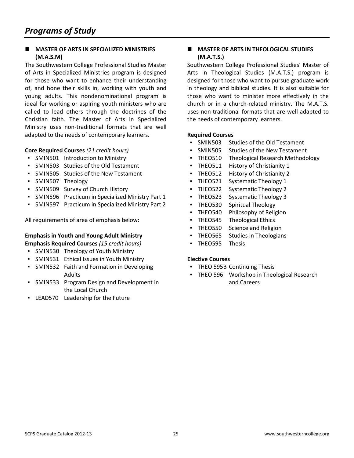#### **MASTER OF ARTS IN SPECIALIZED MINISTRIES (M.A.S.M)**

The Southwestern College Professional Studies Master of Arts in Specialized Ministries program is designed for those who want to enhance their understanding of, and hone their skills in, working with youth and young adults. This nondenominational program is ideal for working or aspiring youth ministers who are called to lead others through the doctrines of the Christian faith. The Master of Arts in Specialized Ministry uses non-traditional formats that are well adapted to the needs of contemporary learners.

#### **Core Required Courses** *(21 credit hours)*

- SMIN501 Introduction to Ministry
- SMIN503 Studies of the Old Testament
- SMIN505 Studies of the New Testament
- SMIN507 Theology
- SMIN509 Survey of Church History
- SMIN596 Practicum in Specialized Ministry Part 1
- SMIN597 Practicum in Specialized Ministry Part 2

All requirements of area of emphasis below:

#### **Emphasis in Youth and Young Adult Ministry Emphasis Required Courses** *(15 credit hours)*

- SMIN530 Theology of Youth Ministry
- SMIN531 Ethical Issues in Youth Ministry
- SMIN532 Faith and Formation in Developing Adults
- SMIN533 Program Design and Development in the Local Church
- LEAD570 Leadership for the Future

#### **MASTER OF ARTS IN THEOLOGICAL STUDIES (M.A.T.S.)**

Southwestern College Professional Studies' Master of Arts in Theological Studies (M.A.T.S.) program is designed for those who want to pursue graduate work in theology and biblical studies. It is also suitable for those who want to minister more effectively in the church or in a church-related ministry. The M.A.T.S. uses non-traditional formats that are well adapted to the needs of contemporary learners.

#### **Required Courses**

- SMIN503 Studies of the Old Testament
- SMIN505 Studies of the New Testament
- **THEO510** Theological Research Methodology
- THEO511 History of Christianity 1
- THEO512 History of Christianity 2
- THEO521 Systematic Theology 1
- THEO522 Systematic Theology 2
- THEO523 Systematic Theology 3
- THEO530 Spiritual Theology
- **THEO540** Philosophy of Religion
- **THEO545 Theological Ethics**
- THEO550 Science and Religion
- THEO565 Studies in Theologians
- THEO595 Thesis

#### **Elective Courses**

- THEO 595B Continuing Thesis
- **THEO 596 Workshop in Theological Research** and Careers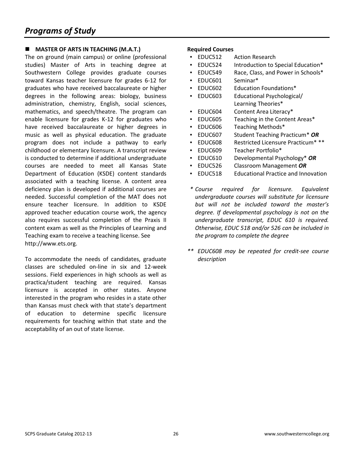#### **MASTER OF ARTS IN TEACHING (M.A.T.)**

The on ground (main campus) or online (professional studies) Master of Arts in teaching degree at Southwestern College provides graduate courses toward Kansas teacher licensure for grades 6-12 for graduates who have received baccalaureate or higher degrees in the following areas: biology, business administration, chemistry, English, social sciences, mathematics, and speech/theatre. The program can enable licensure for grades K-12 for graduates who have received baccalaureate or higher degrees in music as well as physical education. The graduate program does not include a pathway to early childhood or elementary licensure. A transcript review is conducted to determine if additional undergraduate courses are needed to meet all Kansas State Department of Education (KSDE) content standards associated with a teaching license. A content area deficiency plan is developed if additional courses are needed. Successful completion of the MAT does not ensure teacher licensure. In addition to KSDE approved teacher education course work, the agency also requires successful completion of the Praxis II content exam as well as the Principles of Learning and Teaching exam to receive a teaching license. See http://www.ets.org.

To accommodate the needs of candidates, graduate classes are scheduled on-line in six and 12-week sessions. Field experiences in high schools as well as practica/student teaching are required. Kansas licensure is accepted in other states. Anyone interested in the program who resides in a state other than Kansas must check with that state's department of education to determine specific licensure requirements for teaching within that state and the acceptability of an out of state license.

- EDUC512 Action Research
- EDUC524 Introduction to Special Education\*
- EDUC549 Race, Class, and Power in Schools\*
- EDUC601 Seminar\*
- EDUC602 Education Foundations\*
- EDUC603 Educational Psychological/ Learning Theories\*
- EDUC604 Content Area Literacy\*
- EDUC605 Teaching in the Content Areas\*
- EDUC606 Teaching Methods\*
- EDUC607 Student Teaching Practicum\* *OR*
- EDUC608 Restricted Licensure Practicum\* \*\*
- EDUC609 Teacher Portfolio\*
- EDUC610 Developmental Psychology\* *OR*
- EDUC526 Classroom Management *OR*
- EDUC518 Educational Practice and Innovation
- *\* Course required for licensure. Equivalent undergraduate courses will substitute for licensure but will not be included toward the master's degree. If developmental psychology is not on the undergraduate transcript, EDUC 610 is required. Otherwise, EDUC 518 and/or 526 can be included in the program to complete the degree*
- *\*\* EDUC608 may be repeated for credit-see course description*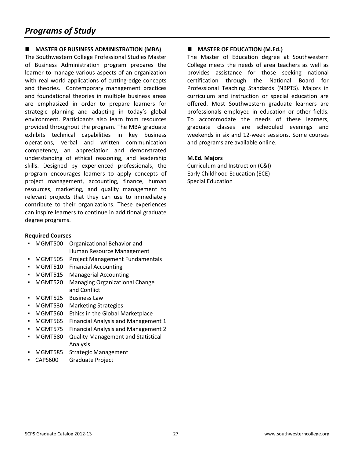#### **MASTER OF BUSINESS ADMINISTRATION (MBA)**

The Southwestern College Professional Studies Master of Business Administration program prepares the learner to manage various aspects of an organization with real world applications of cutting-edge concepts and theories. Contemporary management practices and foundational theories in multiple business areas are emphasized in order to prepare learners for strategic planning and adapting in today's global environment. Participants also learn from resources provided throughout the program. The MBA graduate exhibits technical capabilities in key business operations, verbal and written communication competency, an appreciation and demonstrated understanding of ethical reasoning, and leadership skills. Designed by experienced professionals, the program encourages learners to apply concepts of project management, accounting, finance, human resources, marketing, and quality management to relevant projects that they can use to immediately contribute to their organizations. These experiences can inspire learners to continue in additional graduate degree programs.

#### **Required Courses**

- MGMT500 Organizational Behavior and Human Resource Management
- MGMT505 Project Management Fundamentals
- MGMT510 Financial Accounting
- MGMT515 Managerial Accounting
- **MGMT520** Managing Organizational Change and Conflict
- MGMT525 Business Law
- MGMT530 Marketing Strategies
- MGMT560 Ethics in the Global Marketplace
- MGMT565 Financial Analysis and Management 1
- MGMT575 Financial Analysis and Management 2
- MGMT580 Quality Management and Statistical Analysis
- MGMT585 Strategic Management
- CAPS600 Graduate Project

#### **MASTER OF EDUCATION (M.Ed.)**

The Master of Education degree at Southwestern College meets the needs of area teachers as well as provides assistance for those seeking national certification through the National Board for Professional Teaching Standards (NBPTS). Majors in curriculum and instruction or special education are offered. Most Southwestern graduate learners are professionals employed in education or other fields. To accommodate the needs of these learners, graduate classes are scheduled evenings and weekends in six and 12-week sessions. Some courses and programs are available online.

#### **M.Ed. Majors**

Curriculum and Instruction (C&I) Early Childhood Education (ECE) Special Education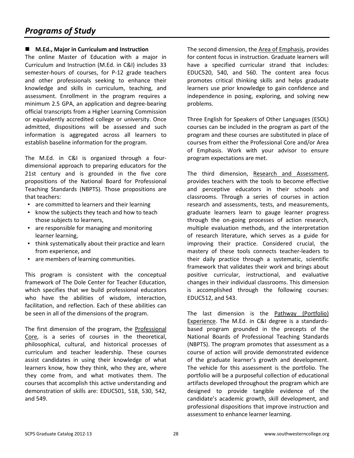#### **M.Ed., Major in Curriculum and Instruction**

The online Master of Education with a major in Curriculum and Instruction (M.Ed. in C&I) includes 33 semester-hours of courses, for P-12 grade teachers and other professionals seeking to enhance their knowledge and skills in curriculum, teaching, and assessment. Enrollment in the program requires a minimum 2.5 GPA, an application and degree-bearing official transcripts from a Higher Learning Commission or equivalently accredited college or university. Once admitted, dispositions will be assessed and such information is aggregated across all learners to establish baseline information for the program.

The M.Ed. in C&I is organized through a fourdimensional approach to preparing educators for the 21st century and is grounded in the five core propositions of the National Board for Professional Teaching Standards (NBPTS). Those propositions are that teachers:

- are committed to learners and their learning
- know the subjects they teach and how to teach those subjects to learners,
- are responsible for managing and monitoring learner learning,
- think systematically about their practice and learn from experience, and
- are members of learning communities.

This program is consistent with the conceptual framework of The Dole Center for Teacher Education, which specifies that we build professional educators who have the abilities of wisdom, interaction, facilitation, and reflection. Each of these abilities can be seen in all of the dimensions of the program.

The first dimension of the program, the Professional Core, is a series of courses in the theoretical, philosophical, cultural, and historical processes of curriculum and teacher leadership. These courses assist candidates in using their knowledge of what learners know, how they think, who they are, where they come from, and what motivates them. The courses that accomplish this active understanding and demonstration of skills are: EDUC501, 518, 530, 542, and 549.

The second dimension, the Area of Emphasis, provides for content focus in instruction. Graduate learners will have a specified curricular strand that includes: EDUC520, 540, and 560. The content area focus promotes critical thinking skills and helps graduate learners use prior knowledge to gain confidence and independence in posing, exploring, and solving new problems.

Three English for Speakers of Other Languages (ESOL) courses can be included in the program as part of the program and these courses are substituted in place of courses from either the Professional Core and/or Area of Emphasis. Work with your advisor to ensure program expectations are met.

The third dimension, Research and Assessment, provides teachers with the tools to become effective and perceptive educators in their schools and classrooms. Through a series of courses in action research and assessments, tests, and measurements, graduate learners learn to gauge learner progress through the on-going processes of action research, multiple evaluation methods, and the interpretation of research literature, which serves as a guide for improving their practice. Considered crucial, the mastery of these tools connects teacher-leaders to their daily practice through a systematic, scientific framework that validates their work and brings about positive curricular, instructional, and evaluative changes in their individual classrooms. This dimension is accomplished through the following courses: EDUC512, and 543.

The last dimension is the Pathway (Portfolio) Experience. The M.Ed. in C&I degree is a standardsbased program grounded in the precepts of the National Boards of Professional Teaching Standards (NBPTS). The program promotes that assessment as a course of action will provide demonstrated evidence of the graduate learner's growth and development. The vehicle for this assessment is the portfolio. The portfolio will be a purposeful collection of educational artifacts developed throughout the program which are designed to provide tangible evidence of the candidate's academic growth, skill development, and professional dispositions that improve instruction and assessment to enhance learner learning.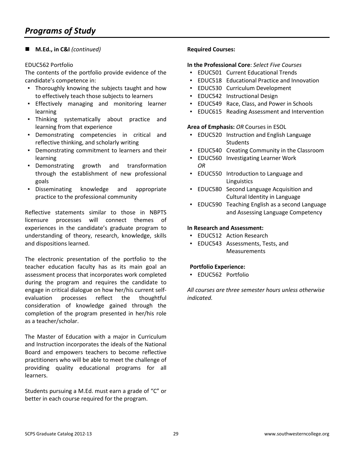#### **M.Ed., in C&I** *(continued)*

#### EDUC562 Portfolio

The contents of the portfolio provide evidence of the candidate's competence in:

- Thoroughly knowing the subjects taught and how to effectively teach those subjects to learners
- Effectively managing and monitoring learner learning
- Thinking systematically about practice and learning from that experience
- Demonstrating competencies in critical and reflective thinking, and scholarly writing
- Demonstrating commitment to learners and their learning
- Demonstrating growth and transformation through the establishment of new professional goals
- Disseminating knowledge and appropriate practice to the professional community

Reflective statements similar to those in NBPTS licensure processes will connect themes of experiences in the candidate's graduate program to understanding of theory, research, knowledge, skills and dispositions learned.

The electronic presentation of the portfolio to the teacher education faculty has as its main goal an assessment process that incorporates work completed during the program and requires the candidate to engage in critical dialogue on how her/his current selfevaluation processes reflect the thoughtful consideration of knowledge gained through the completion of the program presented in her/his role as a teacher/scholar.

The Master of Education with a major in Curriculum and Instruction incorporates the ideals of the National Board and empowers teachers to become reflective practitioners who will be able to meet the challenge of providing quality educational programs for all learners.

Students pursuing a M.Ed. must earn a grade of "C" or better in each course required for the program.

#### **Required Courses:**

#### **In the Professional Core**: *Select Five Courses*

- EDUC501 Current Educational Trends
- **EDUC518 Educational Practice and Innovation**
- EDUC530 Curriculum Development
- EDUC542 Instructional Design
- EDUC549 Race, Class, and Power in Schools
- **EDUC615 Reading Assessment and Intervention**

#### **Area of Emphasis:** *OR* Courses in ESOL

- EDUC520 Instruction and English Language **Students**
- **EDUC540 Creating Community in the Classroom**
- EDUC560 Investigating Learner Work *OR*
- EDUC550 Introduction to Language and Linguistics
- EDUC580 Second Language Acquisition and Cultural Identity in Language
- EDUC590 Teaching English as a second Language and Assessing Language Competency

#### **In Research and Assessment:**

- **EDUC512 Action Research**
- EDUC543 Assessments, Tests, and Measurements

#### **Portfolio Experience:**

▪ EDUC562 Portfolio

*All courses are three semester hours unless otherwise indicated.*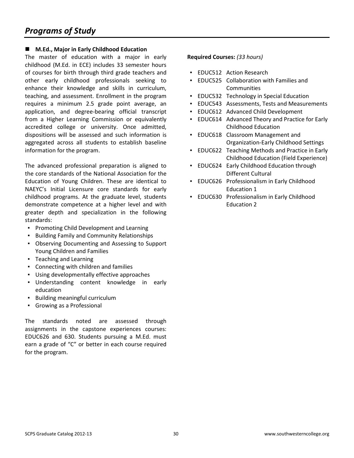#### **M.Ed., Major in Early Childhood Education**

The master of education with a major in early childhood (M.Ed. in ECE) includes 33 semester hours of courses for birth through third grade teachers and other early childhood professionals seeking to enhance their knowledge and skills in curriculum, teaching, and assessment. Enrollment in the program requires a minimum 2.5 grade point average, an application, and degree-bearing official transcript from a Higher Learning Commission or equivalently accredited college or university. Once admitted, dispositions will be assessed and such information is aggregated across all students to establish baseline information for the program.

The advanced professional preparation is aligned to the core standards of the National Association for the Education of Young Children. These are identical to NAEYC's Initial Licensure core standards for early childhood programs. At the graduate level, students demonstrate competence at a higher level and with greater depth and specialization in the following standards:

- Promoting Child Development and Learning
- Building Family and Community Relationships
- Observing Documenting and Assessing to Support Young Children and Families
- Teaching and Learning
- Connecting with children and families
- Using developmentally effective approaches
- Understanding content knowledge in early education
- Building meaningful curriculum
- Growing as a Professional

The standards noted are assessed through assignments in the capstone experiences courses: EDUC626 and 630. Students pursuing a M.Ed. must earn a grade of "C" or better in each course required for the program.

#### **Required Courses:** *(33 hours)*

- **EDUC512 Action Research**
- EDUC525 Collaboration with Families and **Communities**
- **EDUC532 Technology in Special Education**
- EDUC543 Assessments, Tests and Measurements
- EDUC612 Advanced Child Development
- **EDUC614** Advanced Theory and Practice for Early Childhood Education
- EDUC618 Classroom Management and Organization-Early Childhood Settings
- EDUC622 Teaching Methods and Practice in Early Childhood Education (Field Experience)
- **EDUC624 Early Childhood Education through** Different Cultural
- **EDUC626 Professionalism in Early Childhood** Education 1
- **EDUC630 Professionalism in Early Childhood** Education 2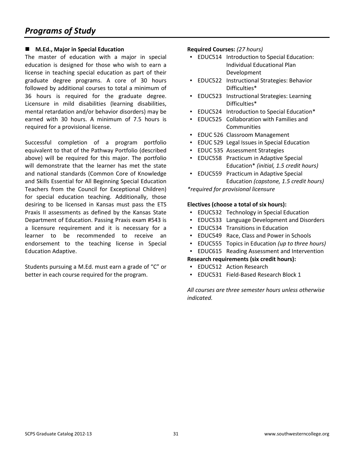#### **M.Ed., Major in Special Education**

The master of education with a major in special education is designed for those who wish to earn a license in teaching special education as part of their graduate degree programs. A core of 30 hours followed by additional courses to total a minimum of 36 hours is required for the graduate degree. Licensure in mild disabilities (learning disabilities, mental retardation and/or behavior disorders) may be earned with 30 hours. A minimum of 7.5 hours is required for a provisional license.

Successful completion of a program portfolio equivalent to that of the Pathway Portfolio (described above) will be required for this major. The portfolio will demonstrate that the learner has met the state and national standards (Common Core of Knowledge and Skills Essential for All Beginning Special Education Teachers from the Council for Exceptional Children) for special education teaching. Additionally, those desiring to be licensed in Kansas must pass the ETS Praxis II assessments as defined by the Kansas State Department of Education. Passing Praxis exam #543 is a licensure requirement and it is necessary for a learner to be recommended to receive an endorsement to the teaching license in Special Education Adaptive.

Students pursuing a M.Ed. must earn a grade of "C" or better in each course required for the program.

#### **Required Courses:** *(27 hours)*

- EDUC514 Introduction to Special Education: Individual Educational Plan Development
- EDUC522 Instructional Strategies: Behavior Difficulties\*
- EDUC523 Instructional Strategies: Learning Difficulties\*
- EDUC524 Introduction to Special Education\*
- EDUC525 Collaboration with Families and **Communities**
- EDUC 526 Classroom Management
- **EDUC 529 Legal Issues in Special Education**
- EDUC 535 Assessment Strategies
- EDUC558 Practicum in Adaptive Special Education\* *(initial, 1.5 credit hours)*
- **EDUC559 Practicum in Adaptive Special** Education *(capstone, 1.5 credit hours)*

*\*required for provisional licensure* 

#### **Electives (choose a total of six hours):**

- **EDUC532 Technology in Special Education**
- EDUC533 Language Development and Disorders
- **EDUC534 Transitions in Education**
- EDUC549 Race, Class and Power in Schools
- EDUC555 Topics in Education *(up to three hours)*
- **EDUC615 Reading Assessment and Intervention**

#### **Research requirements (six credit hours):**

- **EDUC512 Action Research**
- EDUC531 Field-Based Research Block 1

*All courses are three semester hours unless otherwise indicated.*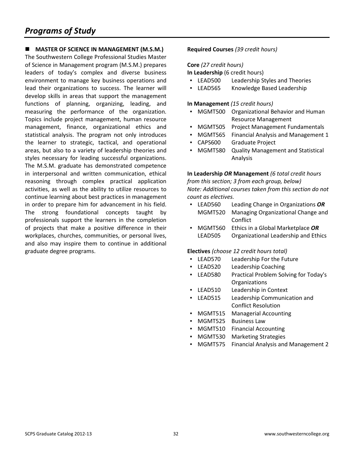## *Programs of Study*

#### **MASTER OF SCIENCE IN MANAGEMENT (M.S.M.)**

The Southwestern College Professional Studies Master of Science in Management program (M.S.M.) prepares leaders of today's complex and diverse business environment to manage key business operations and lead their organizations to success. The learner will develop skills in areas that support the management functions of planning, organizing, leading, and measuring the performance of the organization. Topics include project management, human resource management, finance, organizational ethics and statistical analysis. The program not only introduces the learner to strategic, tactical, and operational areas, but also to a variety of leadership theories and styles necessary for leading successful organizations. The M.S.M. graduate has demonstrated competence in interpersonal and written communication, ethical reasoning through complex practical application activities, as well as the ability to utilize resources to continue learning about best practices in management in order to prepare him for advancement in his field. The strong foundational concepts taught by professionals support the learners in the completion of projects that make a positive difference in their workplaces, churches, communities, or personal lives, and also may inspire them to continue in additional graduate degree programs.

#### **Required Courses** *(39 credit hours)*

#### **Core** *(27 credit hours)*

**In Leadership** (6 credit hours)

- LEAD500 Leadership Styles and Theories
- LEAD565 Knowledge Based Leadership

#### **In Management** *(15 credit hours)*

- MGMT500 Organizational Behavior and Human Resource Management
- MGMT505 Project Management Fundamentals
- MGMT565 Financial Analysis and Management 1
- CAPS600 Graduate Project
- MGMT580 Quality Management and Statistical Analysis

**In Leadership** *OR* **Management** *(6 total credit hours from this section; 3 from each group, below) Note: Additional courses taken from this section do not count as electives.* 

- LEAD560 Leading Change in Organizations *OR* MGMT520 Managing Organizational Change and Conflict
- MGMT560 Ethics in a Global Marketplace *OR* LEAD505 Organizational Leadership and Ethics

#### **Electives** *(choose 12 credit hours total)*

- LEAD570 Leadership For the Future
- LEAD520 Leadership Coaching
- LEAD580 Practical Problem Solving for Today's **Organizations**
- LEAD510 Leadership in Context
- LEAD515 Leadership Communication and Conflict Resolution
- MGMT515 Managerial Accounting
- MGMT525 Business Law
- MGMT510 Financial Accounting
- MGMT530 Marketing Strategies
- MGMT575 Financial Analysis and Management 2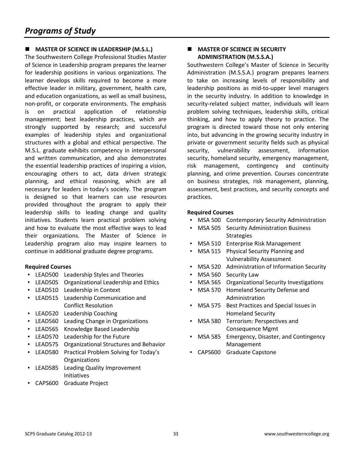#### **MASTER OF SCIENCE IN LEADERSHIP (M.S.L.)**

The Southwestern College Professional Studies Master of Science in Leadership program prepares the learner for leadership positions in various organizations. The learner develops skills required to become a more effective leader in military, government, health care, and education organizations, as well as small business, non-profit, or corporate environments. The emphasis is on practical application of relationship management; best leadership practices, which are strongly supported by research; and successful examples of leadership styles and organizational structures with a global and ethical perspective. The M.S.L. graduate exhibits competency in interpersonal and written communication, and also demonstrates the essential leadership practices of inspiring a vision, encouraging others to act, data driven strategic planning, and ethical reasoning, which are all necessary for leaders in today's society. The program is designed so that learners can use resources provided throughout the program to apply their leadership skills to leading change and quality initiatives. Students learn practical problem solving and how to evaluate the most effective ways to lead their organizations. The Master of Science in Leadership program also may inspire learners to continue in additional graduate degree programs.

#### **Required Courses**

- LEAD500 Leadership Styles and Theories
- LEAD505 Organizational Leadership and Ethics
- LEAD510 Leadership in Context
- LEAD515 Leadership Communication and Conflict Resolution
- LEAD520 Leadership Coaching
- LEAD560 Leading Change in Organizations
- LEAD565 Knowledge Based Leadership
- LEAD570 Leadership for the Future
- LEAD575 Organizational Structures and Behavior
- LEAD580 Practical Problem Solving for Today's **Organizations**
- LEAD585 Leading Quality Improvement Initiatives
- CAPS600 Graduate Project

#### **MASTER OF SCIENCE IN SECURITY ADMINISTRATION (M.S.S.A.)**

Southwestern College's Master of Science in Security Administration (M.S.S.A.) program prepares learners to take on increasing levels of responsibility and leadership positions as mid-to-upper level managers in the security industry. In addition to knowledge in security-related subject matter, individuals will learn problem solving techniques, leadership skills, critical thinking, and how to apply theory to practice. The program is directed toward those not only entering into, but advancing in the growing security industry in private or government security fields such as physical security, vulnerability assessment, information security, homeland security, emergency management, risk management, contingency and continuity planning, and crime prevention. Courses concentrate on business strategies, risk management, planning, assessment, best practices, and security concepts and practices.

- **MSA 500 Contemporary Security Administration**
- **MSA 505 Security Administration Business Strategies**
- MSA 510 Enterprise Risk Management
- MSA 515 Physical Security Planning and Vulnerability Assessment
- MSA 520 Administration of Information Security
- MSA 560 Security Law
- MSA 565 Organizational Security Investigations
- MSA 570 Homeland Security Defense and Administration
- MSA 575 Best Practices and Special Issues in Homeland Security
- MSA 580 Terrorism: Perspectives and Consequence Mgmt
- MSA 585 Emergency, Disaster, and Contingency Management
- CAPS600 Graduate Capstone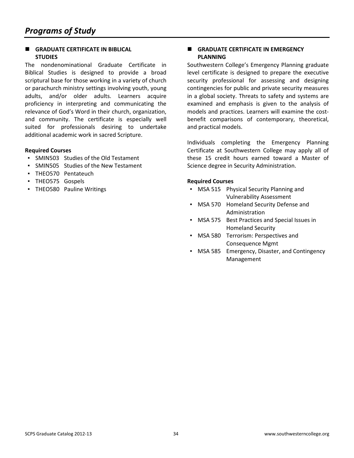#### **GRADUATE CERTIFICATE IN BIBLICAL STUDIES**

The nondenominational Graduate Certificate in Biblical Studies is designed to provide a broad scriptural base for those working in a variety of church or parachurch ministry settings involving youth, young adults, and/or older adults. Learners acquire proficiency in interpreting and communicating the relevance of God's Word in their church, organization, and community. The certificate is especially well suited for professionals desiring to undertake additional academic work in sacred Scripture.

#### **Required Courses**

- SMIN503 Studies of the Old Testament
- SMIN505 Studies of the New Testament
- THEO570 Pentateuch
- THEO575 Gospels
- THEO580 Pauline Writings

#### **E** GRADUATE CERTIFICATE IN EMERGENCY **PLANNING**

Southwestern College's Emergency Planning graduate level certificate is designed to prepare the executive security professional for assessing and designing contingencies for public and private security measures in a global society. Threats to safety and systems are examined and emphasis is given to the analysis of models and practices. Learners will examine the costbenefit comparisons of contemporary, theoretical, and practical models.

Individuals completing the Emergency Planning Certificate at Southwestern College may apply all of these 15 credit hours earned toward a Master of Science degree in Security Administration.

- MSA 515 Physical Security Planning and Vulnerability Assessment
- MSA 570 Homeland Security Defense and Administration
- MSA 575 Best Practices and Special Issues in Homeland Security
- MSA 580 Terrorism: Perspectives and Consequence Mgmt
- MSA 585 Emergency, Disaster, and Contingency Management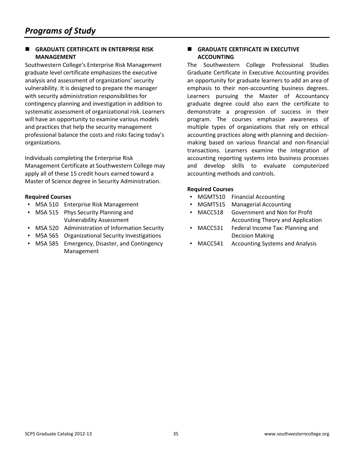#### **GRADUATE CERTIFICATE IN ENTERPRISE RISK MANAGEMENT**

Southwestern College's Enterprise Risk Management graduate level certificate emphasizes the executive analysis and assessment of organizations' security vulnerability. It is designed to prepare the manager with security administration responsibilities for contingency planning and investigation in addition to systematic assessment of organizational risk. Learners will have an opportunity to examine various models and practices that help the security management professional balance the costs and risks facing today's organizations.

Individuals completing the Enterprise Risk Management Certificate at Southwestern College may apply all of these 15 credit hours earned toward a Master of Science degree in Security Administration.

#### **Required Courses**

- **MSA 510 Enterprise Risk Management**
- MSA 515 Phys Security Planning and Vulnerability Assessment
- MSA 520 Administration of Information Security
- MSA 565 Organizational Security Investigations
- MSA 585 Emergency, Disaster, and Contingency Management

#### **GRADUATE CERTIFICATE IN EXECUTIVE ACCOUNTING**

The Southwestern College Professional Studies Graduate Certificate in Executive Accounting provides an opportunity for graduate learners to add an area of emphasis to their non-accounting business degrees. Learners pursuing the Master of Accountancy graduate degree could also earn the certificate to demonstrate a progression of success in their program. The courses emphasize awareness of multiple types of organizations that rely on ethical accounting practices along with planning and decisionmaking based on various financial and non-financial transactions. Learners examine the integration of accounting reporting systems into business processes and develop skills to evaluate computerized accounting methods and controls.

- MGMT510 Financial Accounting
- MGMT515 Managerial Accounting
- MACC518 Government and Non for Profit Accounting Theory and Application
- MACC531 Federal Income Tax: Planning and Decision Making
- MACC541 Accounting Systems and Analysis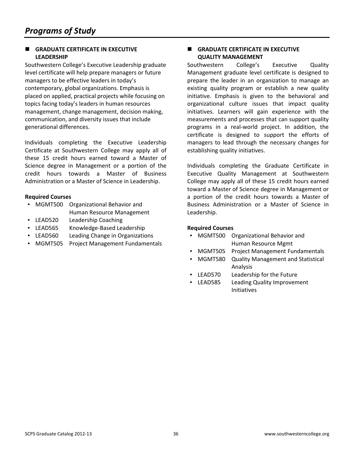#### **GRADUATE CERTIFICATE IN EXECUTIVE LEADERSHIP**

Southwestern College's Executive Leadership graduate level certificate will help prepare managers or future managers to be effective leaders in today's contemporary, global organizations. Emphasis is placed on applied, practical projects while focusing on topics facing today's leaders in human resources management, change management, decision making, communication, and diversity issues that include generational differences.

Individuals completing the Executive Leadership Certificate at Southwestern College may apply all of these 15 credit hours earned toward a Master of Science degree in Management or a portion of the credit hours towards a Master of Business Administration or a Master of Science in Leadership.

#### **Required Courses**

- MGMT500 Organizational Behavior and Human Resource Management
- LEAD520 Leadership Coaching
- LEAD565 Knowledge-Based Leadership
- LEAD560 Leading Change in Organizations
- MGMT505 Project Management Fundamentals

#### **E** GRADUATE CERTIFICATE IN EXECUTIVE **QUALITY MANAGEMENT**

Southwestern College's Executive Quality Management graduate level certificate is designed to prepare the leader in an organization to manage an existing quality program or establish a new quality initiative. Emphasis is given to the behavioral and organizational culture issues that impact quality initiatives. Learners will gain experience with the measurements and processes that can support quality programs in a real-world project. In addition, the certificate is designed to support the efforts of managers to lead through the necessary changes for establishing quality initiatives.

Individuals completing the Graduate Certificate in Executive Quality Management at Southwestern College may apply all of these 15 credit hours earned toward a Master of Science degree in Management or a portion of the credit hours towards a Master of Business Administration or a Master of Science in Leadership.

- MGMT500 Organizational Behavior and Human Resource Mgmt
- MGMT505 Project Management Fundamentals
- MGMT580 Quality Management and Statistical Analysis
- LEAD570 Leadership for the Future
- **ELEAD585** Leading Quality Improvement Initiatives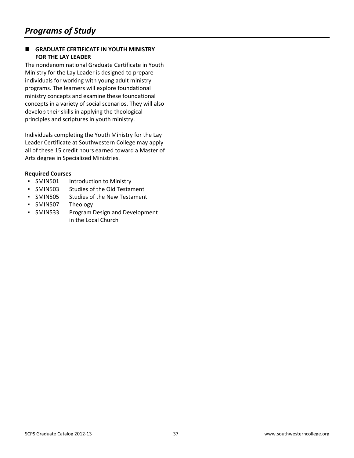#### **GRADUATE CERTIFICATE IN YOUTH MINISTRY FOR THE LAY LEADER**

The nondenominational Graduate Certificate in Youth Ministry for the Lay Leader is designed to prepare individuals for working with young adult ministry programs. The learners will explore foundational ministry concepts and examine these foundational concepts in a variety of social scenarios. They will also develop their skills in applying the theological principles and scriptures in youth ministry.

Individuals completing the Youth Ministry for the Lay Leader Certificate at Southwestern College may apply all of these 15 credit hours earned toward a Master of Arts degree in Specialized Ministries.

- SMIN501 Introduction to Ministry
- SMIN503 Studies of the Old Testament
- SMIN505 Studies of the New Testament
- SMIN507 Theology
- SMIN533 Program Design and Development in the Local Church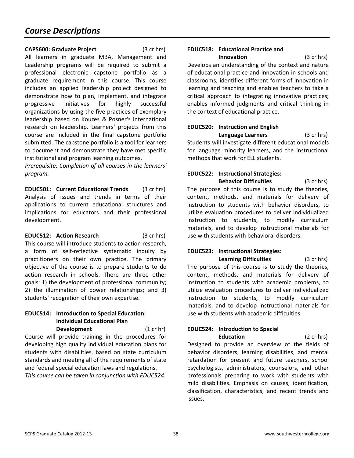#### **CAPS600: Graduate Project** (3 cr hrs)

All learners in graduate MBA, Management and Leadership programs will be required to submit a professional electronic capstone portfolio as a graduate requirement in this course. This course includes an applied leadership project designed to demonstrate how to plan, implement, and integrate progressive initiatives for highly successful organizations by using the five practices of exemplary leadership based on Kouzes & Posner's international research on leadership. Learners' projects from this course are included in the final capstone portfolio submitted. The capstone portfolio is a tool for learners to document and demonstrate they have met specific institutional and program learning outcomes.

*Prerequisite: Completion of all courses in the learners' program.* 

**EDUC501: Current Educational Trends** (3 cr hrs) Analysis of issues and trends in terms of their applications to current educational structures and implications for educators and their professional development.

**EDUC512: Action Research** (3 cr hrs) This course will introduce students to action research, a form of self-reflective systematic inquiry by practitioners on their own practice. The primary objective of the course is to prepare students to do action research in schools. There are three other goals: 1) the development of professional community; 2) the illumination of power relationships; and 3) students' recognition of their own expertise.

#### **EDUC514: Introduction to Special Education: Individual Educational Plan Development** (1 cr hr)

Course will provide training in the procedures for developing high quality individual education plans for students with disabilities, based on state curriculum standards and meeting all of the requirements of state and federal special education laws and regulations. *This course can be taken in conjunction with EDUC524.* 

#### **EDUC518: Educational Practice and Innovation** (3 cr hrs)

Develops an understanding of the context and nature of educational practice and innovation in schools and classrooms; identifies different forms of innovation in learning and teaching and enables teachers to take a critical approach to integrating innovative practices; enables informed judgments and critical thinking in the context of educational practice.

## **EDUC520: Instruction and English Language Learners** (3 cr hrs)

Students will investigate different educational models for language minority learners, and the instructional methods that work for ELL students.

#### **EDUC522: Instructional Strategies: Behavior Difficulties** (3 cr hrs)

The purpose of this course is to study the theories, content, methods, and materials for delivery of instruction to students with behavior disorders, to utilize evaluation procedures to deliver individualized instruction to students, to modify curriculum materials, and to develop instructional materials for use with students with behavioral disorders.

### **EDUC523: Instructional Strategies: Learning Difficulties** (3 cr hrs)

The purpose of this course is to study the theories, content, methods, and materials for delivery of instruction to students with academic problems, to utilize evaluation procedures to deliver individualized instruction to students, to modify curriculum materials, and to develop instructional materials for use with students with academic difficulties.

## **EDUC524: Introduction to Special**

 **Education** (2 cr hrs) Designed to provide an overview of the fields of behavior disorders, learning disabilities, and mental retardation for present and future teachers, school psychologists, administrators, counselors, and other professionals preparing to work with students with mild disabilities. Emphasis on causes, identification, classification, characteristics, and recent trends and issues.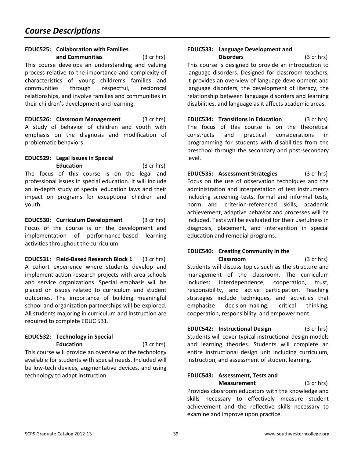## **EDUC525: Collaboration with Families**

 **and Communities** (3 cr hrs) This course develops an understanding and valuing process relative to the importance and complexity of characteristics of young children's families and communities through respectful, reciprocal relationships, and involve families and communities in their children's development and learning.

**EDUC526: Classroom Management** (3 cr hrs) A study of behavior of children and youth with emphasis on the diagnosis and modification of problematic behaviors.

#### **EDUC529: Legal Issues in Special Education** (3 cr hrs)

The focus of this course is on the legal and professional issues in special education. It will include an in-depth study of special education laws and their impact on programs for exceptional children and youth.

**EDUC530: Curriculum Development** (3 cr hrs) Focus of the course is on the development and implementation of performance-based learning activities throughout the curriculum.

**EDUC531: Field-Based Research Block 1** (3 cr hrs) A cohort experience where students develop and implement action research projects with area schools and service organizations. Special emphasis will be placed on issues related to curriculum and student outcomes. The importance of building meaningful school and organization partnerships will be explored. All students majoring in curriculum and instruction are required to complete EDUC 531.

#### **EDUC532: Technology in Special Education** (3 cr hrs)

This course will provide an overview of the technology available for students with special needs. Included will be low-tech devices, augmentative devices, and using technology to adapt instruction.

#### **EDUC533: Language Development and Disorders** (3 cr hrs)

This course is designed to provide an introduction to language disorders. Designed for classroom teachers, it provides an overview of language development and language disorders, the development of literacy, the relationship between language disorders and learning disabilities, and language as it affects academic areas.

**EDUC534: Transitions in Education** (3 cr hrs) The focus of this course is on the theoretical constructs and practical considerations in programming for students with disabilities from the preschool through the secondary and post-secondary level.

**EDUC535: Assessment Strategies** (3 cr hrs) Focus on the use of observation techniques and the administration and interpretation of test instruments including screening tests, formal and informal tests, norm and criterion-referenced skills, academic achievement, adaptive behavior and processes will be included. Tests will be evaluated for their usefulness in diagnosis, placement, and intervention in special education and remedial programs.

#### **EDUC540: Creating Community in the Classroom** (3 cr hrs)

Students will discuss topics such as the structure and management of the classroom. The curriculum includes: interdependence, cooperation, trust, responsibility, and active participation. Teaching strategies include techniques, and activities that emphasize decision-making, critical thinking, cooperation, responsibility, and empowerment.

**EDUC542: Instructional Design** (3 cr hrs) Students will cover typical instructional design models and learning theories. Students will complete an entire instructional design unit including curriculum, instruction, and assessment of student learning.

### **EDUC543: Assessment, Tests and Measurement** (3 cr hrs)

Provides classroom educators with the knowledge and skills necessary to effectively measure student achievement and the reflective skills necessary to examine and improve upon practice.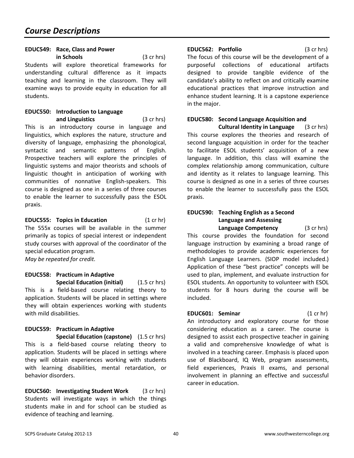### **EDUC549: Race, Class and Power**

 **in Schools** (3 cr hrs) Students will explore theoretical frameworks for understanding cultural difference as it impacts teaching and learning in the classroom. They will examine ways to provide equity in education for all students.

#### **EDUC550: Introduction to Language and Linguistics** (3 cr hrs)

This is an introductory course in language and linguistics, which explores the nature, structure and diversity of language, emphasizing the phonological, syntactic and semantic patterns of English. Prospective teachers will explore the principles of linguistic systems and major theorists and schools of linguistic thought in anticipation of working with communities of nonnative English-speakers. This course is designed as one in a series of three courses to enable the learner to successfully pass the ESOL praxis.

**EDUC555: Topics in Education** (1 cr hr) The 555x courses will be available in the summer primarily as topics of special interest or independent study courses with approval of the coordinator of the special education program. *May be repeated for credit.* 

## **EDUC558: Practicum in Adaptive**

**Special Education (initial)** (1.5 cr hrs) This is a field-based course relating theory to application. Students will be placed in settings where they will obtain experiences working with students with mild disabilities.

#### **EDUC559: Practicum in Adaptive**

**Special Education (capstone)** (1.5 cr hrs) This is a field-based course relating theory to application. Students will be placed in settings where they will obtain experiences working with students with learning disabilities, mental retardation, or behavior disorders.

**EDUC560: Investigating Student Work** (3 cr hrs) Students will investigate ways in which the things students make in and for school can be studied as evidence of teaching and learning.

#### **EDUC562: Portfolio** (3 cr hrs)

The focus of this course will be the development of a purposeful collections of educational artifacts designed to provide tangible evidence of the candidate's ability to reflect on and critically examine educational practices that improve instruction and enhance student learning. It is a capstone experience in the major.

### **EDUC580: Second Language Acquisition and**

 **Cultural Identity in Language** (3 cr hrs) This course explores the theories and research of second language acquisition in order for the teacher to facilitate ESOL students' acquisition of a new language. In addition, this class will examine the complex relationship among communication, culture and identity as it relates to language learning. This course is designed as one in a series of three courses to enable the learner to successfully pass the ESOL praxis.

#### **EDUC590: Teaching English as a Second Language and Assessing Language Competency** (3 cr hrs)

This course provides the foundation for second language instruction by examining a broad range of methodologies to provide academic experiences for English Language Learners. (SIOP model included.) Application of these "best practice" concepts will be used to plan, implement, and evaluate instruction for ESOL students. An opportunity to volunteer with ESOL students for 8 hours during the course will be included.

**EDUC601: Seminar** (1 cr hr) An introductory and exploratory course for those considering education as a career. The course is designed to assist each prospective teacher in gaining a valid and comprehensive knowledge of what is involved in a teaching career. Emphasis is placed upon use of Blackboard, IQ Web, program assessments, field experiences, Praxis II exams, and personal involvement in planning an effective and successful career in education.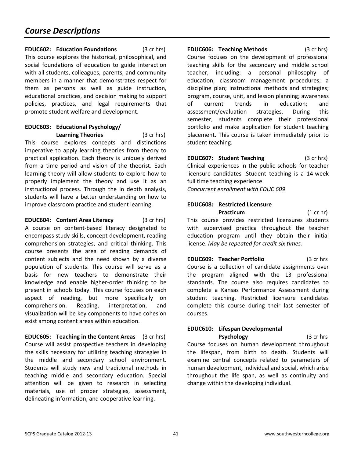**EDUC602: Education Foundations** (3 cr hrs) This course explores the historical, philosophical, and social foundations of education to guide interaction with all students, colleagues, parents, and community members in a manner that demonstrates respect for them as persons as well as guide instruction, educational practices, and decision making to support policies, practices, and legal requirements that promote student welfare and development.

#### **EDUC603: Educational Psychology/ Learning Theories** (3 cr hrs)

This course explores concepts and distinctions imperative to apply learning theories from theory to practical application. Each theory is uniquely derived from a time period and vision of the theorist. Each learning theory will allow students to explore how to properly implement the theory and use it as an instructional process. Through the in depth analysis, students will have a better understanding on how to improve classroom practice and student learning.

**EDUC604: Content Area Literacy** (3 cr hrs) A course on content-based literacy designated to encompass study skills, concept development, reading comprehension strategies, and critical thinking. This course presents the area of reading demands of content subjects and the need shown by a diverse population of students. This course will serve as a basis for new teachers to demonstrate their knowledge and enable higher-order thinking to be present in schools today. This course focuses on each aspect of reading, but more specifically on comprehension. Reading, interpretation, and visualization will be key components to have cohesion exist among content areas within education.

**EDUC605: Teaching in the Content Areas** (3 cr hrs) Course will assist prospective teachers in developing the skills necessary for utilizing teaching strategies in the middle and secondary school environment. Students will study new and traditional methods in teaching middle and secondary education. Special attention will be given to research in selecting materials, use of proper strategies, assessment, delineating information, and cooperative learning.

**EDUC606: Teaching Methods** (3 cr hrs) Course focuses on the development of professional teaching skills for the secondary and middle school teacher, including: a personal philosophy of education; classroom management procedures; a discipline plan; instructional methods and strategies; program, course, unit, and lesson planning; awareness of current trends in education; and assessment/evaluation strategies. During this semester, students complete their professional portfolio and make application for student teaching placement. This course is taken immediately prior to student teaching.

**EDUC607: Student Teaching** (3 cr hrs) Clinical experiences in the public schools for teacher licensure candidates .Student teaching is a 14-week full time teaching experience. *Concurrent enrollment with EDUC 609* 

## **EDUC608: Restricted Licensure Practicum** (1 cr hr)

This course provides restricted licensures students with supervised practica throughout the teacher education program until they obtain their initial license. *May be repeated for credit six times.* 

**EDUC609: Teacher Portfolio** (3 cr hrs Course is a collection of candidate assignments over the program aligned with the 13 professional standards. The course also requires candidates to complete a Kansas Performance Assessment during student teaching. Restricted licensure candidates complete this course during their last semester of courses.

## **EDUC610: Lifespan Developmental**

**Psychology** (3 cr hrs Course focuses on human development throughout the lifespan, from birth to death. Students will examine central concepts related to parameters of human development, individual and social, which arise throughout the life span, as well as continuity and change within the developing individual.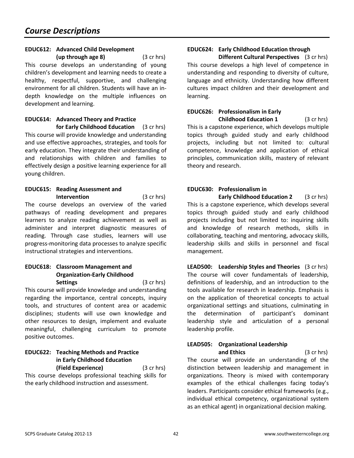#### **EDUC612: Advanced Child Development**

 **(up through age 8)** (3 cr hrs) This course develops an understanding of young children's development and learning needs to create a healthy, respectful, supportive, and challenging environment for all children. Students will have an indepth knowledge on the multiple influences on development and learning.

#### **EDUC614: Advanced Theory and Practice for Early Childhood Education** (3 cr hrs)

This course will provide knowledge and understanding and use effective approaches, strategies, and tools for early education. They integrate their understanding of and relationships with children and families to effectively design a positive learning experience for all young children.

#### **EDUC615: Reading Assessment and Intervention** (3 cr hrs)

The course develops an overview of the varied pathways of reading development and prepares learners to analyze reading achievement as well as administer and interpret diagnostic measures of reading. Through case studies, learners will use progress-monitoring data processes to analyze specific instructional strategies and interventions.

#### **EDUC618: Classroom Management and Organization-Early Childhood Settings** (3 cr hrs)

This course will provide knowledge and understanding regarding the importance, central concepts, inquiry tools, and structures of content area or academic disciplines; students will use own knowledge and other resources to design, implement and evaluate meaningful, challenging curriculum to promote positive outcomes.

#### **EDUC622: Teaching Methods and Practice in Early Childhood Education (Field Experience)** (3 cr hrs)

This course develops professional teaching skills for the early childhood instruction and assessment.

## **EDUC624: Early Childhood Education through**

 **Different Cultural Perspectives** (3 cr hrs) This course develops a high level of competence in understanding and responding to diversity of culture, language and ethnicity. Understanding how different cultures impact children and their development and learning.

#### **EDUC626: Professionalism in Early Childhood Education 1** (3 cr hrs)

This is a capstone experience, which develops multiple topics through guided study and early childhood projects, including but not limited to: cultural competence, knowledge and application of ethical principles, communication skills, mastery of relevant theory and research.

#### **EDUC630: Professionalism in**

**Early Childhood Education 2** (3 cr hrs) This is a capstone experience, which develops several topics through guided study and early childhood projects including but not limited to: inquiring skills and knowledge of research methods, skills in collaborating, teaching and mentoring, advocacy skills, leadership skills and skills in personnel and fiscal management.

**LEAD500: Leadership Styles and Theories** (3 cr hrs) The course will cover fundamentals of leadership, definitions of leadership, and an introduction to the tools available for research in leadership. Emphasis is on the application of theoretical concepts to actual organizational settings and situations, culminating in the determination of participant's dominant leadership style and articulation of a personal leadership profile.

## **LEAD505: Organizational Leadership**

**and Ethics** (3 cr hrs) The course will provide an understanding of the distinction between leadership and management in organizations. Theory is mixed with contemporary examples of the ethical challenges facing today's leaders. Participants consider ethical frameworks (e.g., individual ethical competency, organizational system as an ethical agent) in organizational decision making.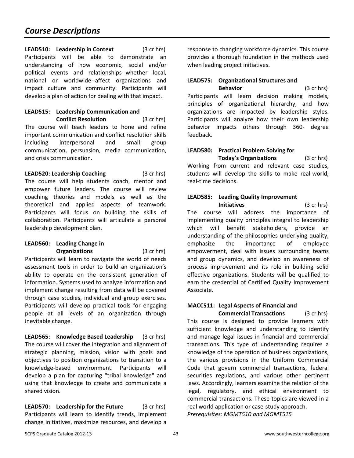**LEAD510:** Leadership in Context (3 cr hrs) Participants will be able to demonstrate an understanding of how economic, social and/or political events and relationships--whether local, national or worldwide--affect organizations and impact culture and community. Participants will develop a plan of action for dealing with that impact.

#### **LEAD515: Leadership Communication and Conflict Resolution** (3 cr hrs)

The course will teach leaders to hone and refine important communication and conflict resolution skills including interpersonal and small group communication, persuasion, media communication, and crisis communication.

**LEAD520: Leadership Coaching** (3 cr hrs) The course will help students coach, mentor and empower future leaders. The course will review coaching theories and models as well as the theoretical and applied aspects of teamwork. Participants will focus on building the skills of collaboration. Participants will articulate a personal leadership development plan.

#### **LEAD560: Leading Change in Organizations** (3 cr hrs)

Participants will learn to navigate the world of needs assessment tools in order to build an organization's ability to operate on the consistent generation of information. Systems used to analyze information and implement change resulting from data will be covered through case studies, individual and group exercises. Participants will develop practical tools for engaging people at all levels of an organization through inevitable change.

**LEAD565: Knowledge Based Leadership** (3 cr hrs) The course will cover the integration and alignment of strategic planning, mission, vision with goals and objectives to position organizations to transition to a knowledge-based environment. Participants will develop a plan for capturing "tribal knowledge" and using that knowledge to create and communicate a shared vision.

**LEAD570:** Leadership for the Future (3 cr hrs) Participants will learn to identify trends, implement change initiatives, maximize resources, and develop a response to changing workforce dynamics. This course provides a thorough foundation in the methods used when leading project initiatives.

## **LEAD575: Organizational Structures and**

**Behavior** (3 cr hrs) Participants will learn decision making models, principles of organizational hierarchy, and how organizations are impacted by leadership styles. Participants will analyze how their own leadership behavior impacts others through 360- degree feedback.

#### **LEAD580: Practical Problem Solving for Today's Organizations** (3 cr hrs)

Working from current and relevant case studies, students will develop the skills to make real-world, real-time decisions.

### **LEAD585: Leading Quality Improvement**

 **Initiatives** (3 cr hrs) The course will address the importance of implementing quality principles integral to leadership which will benefit stakeholders, provide an understanding of the philosophies underlying quality, emphasize the importance of employee empowerment, deal with issues surrounding teams and group dynamics, and develop an awareness of process improvement and its role in building solid effective organizations. Students will be qualified to earn the credential of Certified Quality Improvement Associate.

## **MACC511: Legal Aspects of Financial and**

**Commercial Transactions** (3 cr hrs) This course is designed to provide learners with sufficient knowledge and understanding to identify and manage legal issues in financial and commercial transactions. This type of understanding requires a knowledge of the operation of business organizations, the various provisions in the Uniform Commercial Code that govern commercial transactions, federal securities regulations, and various other pertinent laws. Accordingly, learners examine the relation of the legal, regulatory, and ethical environment to commercial transactions. These topics are viewed in a real world application or case-study approach. *Prerequisites: MGMT510 and MGMT515*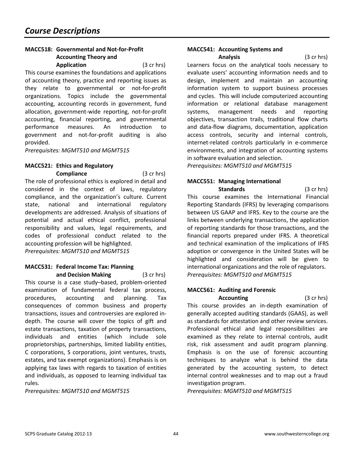### **MACC518: Governmental and Not-for-Profit Accounting Theory and**

**Application** (3 cr hrs) This course examines the foundations and applications of accounting theory, practice and reporting issues as they relate to governmental or not-for-profit organizations. Topics include the governmental accounting, accounting records in government, fund allocation, government-wide reporting, not-for-profit accounting, financial reporting, and governmental performance measures. An introduction to government and not-for-profit auditing is also provided.

*Prerequisites: MGMT510 and MGMT515* 

## **MACC521: Ethics and Regulatory**

**Compliance** (3 cr hrs) The role of professional ethics is explored in detail and considered in the context of laws, regulatory compliance, and the organization's culture. Current state, national and international regulatory developments are addressed. Analysis of situations of potential and actual ethical conflict, professional responsibility and values, legal requirements, and codes of professional conduct related to the accounting profession will be highlighted.

*Prerequisites: MGMT510 and MGMT515*

## **MACC531: Federal Income Tax: Planning**

 **and Decision Making** (3 cr hrs) This course is a case study–based, problem-oriented examination of fundamental federal tax process, procedures, accounting and planning. Tax consequences of common business and property transactions, issues and controversies are explored indepth. The course will cover the topics of gift and estate transactions, taxation of property transactions, individuals and entities (which include sole proprietorships, partnerships, limited liability entities, C corporations, S corporations, joint ventures, trusts, estates, and tax exempt organizations). Emphasis is on applying tax laws with regards to taxation of entities and individuals, as opposed to learning individual tax rules.

*Prerequisites: MGMT510 and MGMT515* 

#### **MACC541: Accounting Systems and Analysis** (3 cr hrs)

Learners focus on the analytical tools necessary to evaluate users' accounting information needs and to design, implement and maintain an accounting information system to support business processes and cycles. This will include computerized accounting information or relational database management systems, management needs and reporting objectives, transaction trails, traditional flow charts and data-flow diagrams, documentation, application access controls, security and internal controls, internet-related controls particularly in e-commerce environments, and integration of accounting systems in software evaluation and selection.

*Prerequisites: MGMT510 and MGMT515* 

## **MACC551: Managing International**

**Standards** (3 cr hrs) This course examines the International Financial Reporting Standards (IFRS) by leveraging comparisons between US GAAP and IFRS. Key to the course are the links between underlying transactions, the application of reporting standards for those transactions, and the financial reports prepared under IFRS. A theoretical and technical examination of the implications of IFRS adoption or convergence in the United States will be highlighted and consideration will be given to international organizations and the role of regulators. *Prerequisites: MGMT510 and MGMT515* 

### **MACC561: Auditing and Forensic**

**Accounting** (3 cr hrs) This course provides an in-depth examination of generally accepted auditing standards (GAAS), as well as standards for attestation and other review services. Professional ethical and legal responsibilities are examined as they relate to internal controls, audit risk, risk assessment and audit program planning. Emphasis is on the use of forensic accounting techniques to analyze what is behind the data generated by the accounting system, to detect internal control weaknesses and to map out a fraud investigation program.

*Prerequisites: MGMT510 and MGMT515*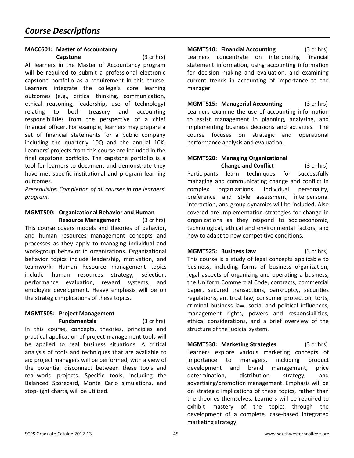## **MACC601: Master of Accountancy**

 **Capstone** (3 cr hrs)

All learners in the Master of Accountancy program will be required to submit a professional electronic capstone portfolio as a requirement in this course. Learners integrate the college's core learning outcomes (e.g., critical thinking, communication, ethical reasoning, leadership, use of technology) relating to both treasury and accounting responsibilities from the perspective of a chief financial officer. For example, learners may prepare a set of financial statements for a public company including the quarterly 10Q and the annual 10K. Learners' projects from this course are included in the final capstone portfolio. The capstone portfolio is a tool for learners to document and demonstrate they have met specific institutional and program learning outcomes.

*Prerequisite: Completion of all courses in the learners' program.* 

#### **MGMT500: Organizational Behavior and Human Resource Management** (3 cr hrs)

This course covers models and theories of behavior, and human resources management concepts and processes as they apply to managing individual and work-group behavior in organizations. Organizational behavior topics include leadership, motivation, and teamwork. Human Resource management topics include human resources strategy, selection, performance evaluation, reward systems, and employee development. Heavy emphasis will be on the strategic implications of these topics.

#### **MGMT505: Project Management Fundamentals** (3 cr hrs)

In this course, concepts, theories, principles and practical application of project management tools will be applied to real business situations. A critical analysis of tools and techniques that are available to aid project managers will be performed, with a view of the potential disconnect between these tools and real-world projects. Specific tools, including the Balanced Scorecard, Monte Carlo simulations, and stop-light charts, will be utilized.

**MGMT510: Financial Accounting** (3 cr hrs) Learners concentrate on interpreting financial statement information, using accounting information for decision making and evaluation, and examining current trends in accounting of importance to the manager.

**MGMT515: Managerial Accounting** (3 cr hrs) Learners examine the use of accounting information to assist management in planning, analyzing, and implementing business decisions and activities. The course focuses on strategic and operational performance analysis and evaluation.

## **MGMT520: Managing Organizational**

**Change and Conflict** (3 cr hrs) Participants learn techniques for successfully managing and communicating change and conflict in complex organizations. Individual personality, preference and style assessment, interpersonal interaction, and group dynamics will be included. Also covered are implementation strategies for change in organizations as they respond to socioeconomic, technological, ethical and environmental factors, and how to adapt to new competitive conditions.

**MGMT525: Business Law** (3 cr hrs) This course is a study of legal concepts applicable to business, including forms of business organization, legal aspects of organizing and operating a business, the Uniform Commercial Code, contracts, commercial paper, secured transactions, bankruptcy, securities regulations, antitrust law, consumer protection, torts, criminal business law, social and political influences, management rights, powers and responsibilities, ethical considerations, and a brief overview of the structure of the judicial system.

**MGMT530: Marketing Strategies** (3 cr hrs) Learners explore various marketing concepts of importance to managers, including product development and brand management, price determination, distribution strategy, and advertising/promotion management. Emphasis will be on strategic implications of these topics, rather than the theories themselves. Learners will be required to exhibit mastery of the topics through the development of a complete, case-based integrated marketing strategy.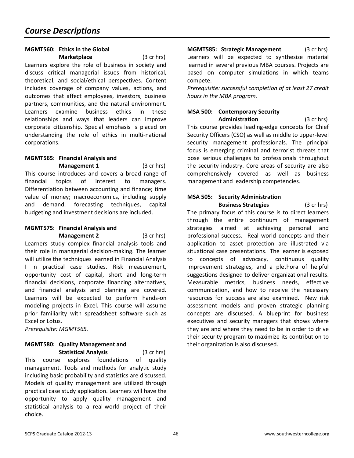## **MGMT560: Ethics in the Global**

**Marketplace** (3 cr hrs) Learners explore the role of business in society and discuss critical managerial issues from historical, theoretical, and social/ethical perspectives. Content includes coverage of company values, actions, and outcomes that affect employees, investors, business partners, communities, and the natural environment. Learners examine business ethics in these relationships and ways that leaders can improve corporate citizenship. Special emphasis is placed on understanding the role of ethics in multi-national corporations.

#### **MGMT565: Financial Analysis and Management 1** (3 cr hrs)

This course introduces and covers a broad range of financial topics of interest to managers. Differentiation between accounting and finance; time value of money; macroeconomics, including supply and demand; forecasting techniques, capital budgeting and investment decisions are included.

## **MGMT575: Financial Analysis and**

**Management 2** (3 cr hrs) Learners study complex financial analysis tools and their role in managerial decision-making. The learner will utilize the techniques learned in Financial Analysis I in practical case studies. Risk measurement, opportunity cost of capital, short and long-term financial decisions, corporate financing alternatives, and financial analysis and planning are covered. Learners will be expected to perform hands-on modeling projects in Excel. This course will assume prior familiarity with spreadsheet software such as Excel or Lotus.

*Prerequisite: MGMT565.* 

### **MGMT580: Quality Management and**

**Statistical Analysis** (3 cr hrs) This course explores foundations of quality management. Tools and methods for analytic study including basic probability and statistics are discussed. Models of quality management are utilized through practical case study application. Learners will have the opportunity to apply quality management and statistical analysis to a real-world project of their choice.

**MGMT585: Strategic Management** (3 cr hrs) Learners will be expected to synthesize material learned in several previous MBA courses. Projects are based on computer simulations in which teams compete.

*Prerequisite: successful completion of at least 27 credit hours in the MBA program.*

#### **MSA 500: Contemporary Security Administration** (3 cr hrs)

This course provides leading-edge concepts for Chief Security Officers (CSO) as well as middle to upper-level security management professionals. The principal focus is emerging criminal and terrorist threats that pose serious challenges to professionals throughout the security industry. Core areas of security are also comprehensively covered as well as business management and leadership competencies.

## **MSA 505: Security Administration**

**Business Strategies** (3 cr hrs) The primary focus of this course is to direct learners through the entire continuum of management strategies aimed at achieving personal and professional success. Real world concepts and their application to asset protection are illustrated via situational case presentations. The learner is exposed to concepts of advocacy, continuous quality improvement strategies, and a plethora of helpful suggestions designed to deliver organizational results. Measurable metrics, business needs, effective communication, and how to receive the necessary resources for success are also examined. New risk assessment models and proven strategic planning concepts are discussed. A blueprint for business executives and security managers that shows where they are and where they need to be in order to drive their security program to maximize its contribution to their organization is also discussed.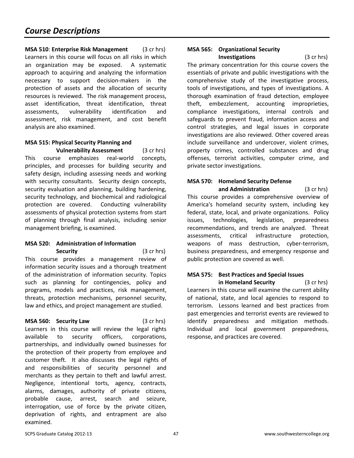**MSA 510**: **Enterprise Risk Management** (3 cr hrs) Learners in this course will focus on all risks in which an organization may be exposed. A systematic approach to acquiring and analyzing the information necessary to support decision-makers in the protection of assets and the allocation of security resources is reviewed. The risk management process, asset identification, threat identification, threat assessments, vulnerability identification and assessment, risk management, and cost benefit analysis are also examined.

#### **MSA 515: Physical Security Planning and Vulnerability Assessment** (3 cr hrs)

This course emphasizes real-world concepts, principles, and processes for building security and safety design, including assessing needs and working with security consultants. Security design concepts, security evaluation and planning, building hardening, security technology, and biochemical and radiological protection are covered. Conducting vulnerability assessments of physical protection systems from start of planning through final analysis, including senior management briefing, is examined.

#### **MSA 520: Administration of Information Security** (3 cr hrs)

This course provides a management review of information security issues and a thorough treatment of the administration of information security. Topics such as planning for contingencies, policy and programs, models and practices, risk management, threats, protection mechanisms, personnel security, law and ethics, and project management are studied.

#### **MSA 560: Security Law** (3 cr hrs)

Learners in this course will review the legal rights available to security officers, corporations, partnerships, and individually owned businesses for the protection of their property from employee and customer theft. It also discusses the legal rights of and responsibilities of security personnel and merchants as they pertain to theft and lawful arrest. Negligence, intentional torts, agency, contracts, alarms, damages, authority of private citizens, probable cause, arrest, search and seizure, interrogation, use of force by the private citizen, deprivation of rights, and entrapment are also examined.

#### **MSA 565: Organizational Security Investigations** (3 cr hrs)

The primary concentration for this course covers the essentials of private and public investigations with the comprehensive study of the investigative process, tools of investigations, and types of investigations. A thorough examination of fraud detection, employee theft, embezzlement, accounting improprieties, compliance investigations, internal controls and safeguards to prevent fraud, information access and control strategies, and legal issues in corporate investigations are also reviewed. Other covered areas include surveillance and undercover, violent crimes, property crimes, controlled substances and drug offenses, terrorist activities, computer crime, and private sector investigations.

## **MSA 570: Homeland Security Defense**

**and Administration** (3 cr hrs) This course provides a comprehensive overview of America's homeland security system, including key federal, state, local, and private organizations. Policy issues, technologies, legislation, preparedness recommendations, and trends are analyzed. Threat assessments, critical infrastructure protection, weapons of mass destruction, cyber-terrorism, business preparedness, and emergency response and public protection are covered as well.

#### **MSA 575: Best Practices and Special Issues in Homeland Security** (3 cr hrs)

Learners in this course will examine the current ability of national, state, and local agencies to respond to terrorism. Lessons learned and best practices from past emergencies and terrorist events are reviewed to identify preparedness and mitigation methods. Individual and local government preparedness, response, and practices are covered.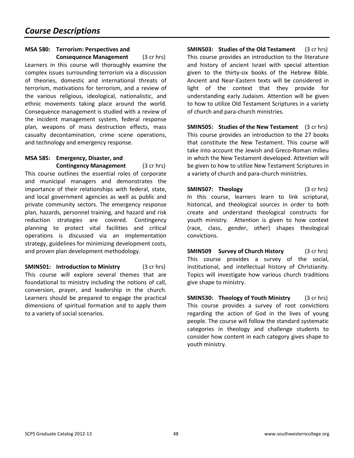#### **MSA 580: Terrorism: Perspectives and Consequence Management** (3 cr hrs)

Learners in this course will thoroughly examine the complex issues surrounding terrorism via a discussion of theories, domestic and international threats of terrorism, motivations for terrorism, and a review of the various religious, ideological, nationalistic, and ethnic movements taking place around the world. Consequence management is studied with a review of the incident management system, federal response plan, weapons of mass destruction effects, mass casualty decontamination, crime scene operations, and technology and emergency response.

#### **MSA 585: Emergency, Disaster, and Contingency Management** (3 cr hrs)

This course outlines the essential roles of corporate and municipal managers and demonstrates the importance of their relationships with federal, state, and local government agencies as well as public and private community sectors. The emergency response plan, hazards, personnel training, and hazard and risk reduction strategies are covered. Contingency planning to protect vital facilities and critical operations is discussed via an implementation strategy, guidelines for minimizing development costs, and proven plan development methodology.

**SMIN501:** Introduction to Ministry (3 cr hrs) This course will explore several themes that are foundational to ministry including the notions of call, conversion, prayer, and leadership in the church. Learners should be prepared to engage the practical dimensions of spiritual formation and to apply them to a variety of social scenarios.

**SMIN503: Studies of the Old Testament** (3 cr hrs) This course provides an introduction to the literature and history of ancient Israel with special attention given to the thirty-six books of the Hebrew Bible. Ancient and Near-Eastern texts will be considered in light of the context that they provide for understanding early Judaism. Attention will be given to how to utilize Old Testament Scriptures in a variety of church and para-church ministries.

**SMIN505:** Studies of the New Testament (3 cr hrs) This course provides an introduction to the 27 books that constitute the New Testament. This course will take into account the Jewish and Greco-Roman milieu in which the New Testament developed. Attention will be given to how to utilize New Testament Scriptures in a variety of church and para-church ministries.

**SMIN507: Theology** (3 cr hrs) In this course, learners learn to link scriptural, historical, and theological sources in order to both create and understand theological constructs for youth ministry. Attention is given to how context (race, class, gender, other) shapes theological convictions.

**SMIN509** Survey of Church History (3 cr hrs) This course provides a survey of the social, institutional, and intellectual history of Christianity. Topics will investigate how various church traditions give shape to ministry.

**SMIN530: Theology of Youth Ministry** (3 cr hrs) This course provides a survey of root convictions regarding the action of God in the lives of young people. The course will follow the standard systematic categories in theology and challenge students to consider how content in each category gives shape to youth ministry.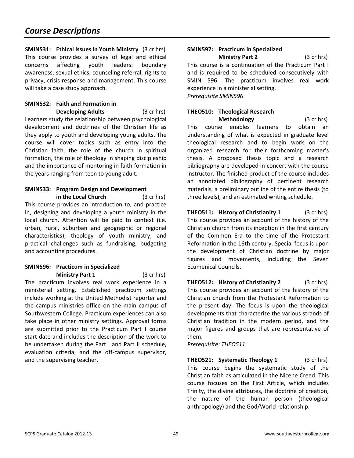**SMIN531: Ethical Issues in Youth Ministry** (3 cr hrs) This course provides a survey of legal and ethical concerns affecting youth leaders: boundary awareness, sexual ethics, counseling referral, rights to privacy, crisis response and management. This course will take a case study approach.

#### **SMIN532: Faith and Formation in Developing Adults** (3 cr hrs)

Learners study the relationship between psychological development and doctrines of the Christian life as they apply to youth and developing young adults. The course will cover topics such as entry into the Christian faith, the role of the church in spiritual formation, the role of theology in shaping discipleship and the importance of mentoring in faith formation in the years ranging from teen to young adult.

## **SMIN533: Program Design and Development**

**in the Local Church** (3 cr hrs) This course provides an introduction to, and practice in, designing and developing a youth ministry in the local church. Attention will be paid to context (i.e. urban, rural, suburban and geographic or regional characteristics), theology of youth ministry, and practical challenges such as fundraising, budgeting and accounting procedures.

### **SMIN596: Practicum in Specialized**

**Ministry Part 1** (3 cr hrs) The practicum involves real work experience in a ministerial setting. Established practicum settings include working at the United Methodist reporter and the campus ministries office on the main campus of Southwestern College. Practicum experiences can also take place in other ministry settings. Approval forms are submitted prior to the Practicum Part I course start date and includes the description of the work to be undertaken during the Part I and Part II schedule, evaluation criteria, and the off-campus supervisor, and the supervising teacher.

#### **SMIN597: Practicum in Specialized Ministry Part 2** (3 cr hrs)

This course is a continuation of the Practicum Part I and is required to be scheduled consecutively with SMIN 596. The practicum involves real work experience in a ministerial setting. *Prerequisite SMIN596*

## **THEO510: Theological Research**

**Methodology** (3 cr hrs) This course enables learners to obtain an understanding of what is expected in graduate level theological research and to begin work on the organized research for their forthcoming master's thesis. A proposed thesis topic and a research bibliography are developed in concert with the course instructor. The finished product of the course includes an annotated bibliography of pertinent research materials, a preliminary outline of the entire thesis (to three levels), and an estimated writing schedule.

**THEO511:** History of Christianity 1 (3 cr hrs) This course provides an account of the history of the Christian church from its inception in the first century of the Common Era to the time of the Protestant Reformation in the 16th century. Special focus is upon the development of Christian doctrine by major figures and movements, including the Seven Ecumenical Councils.

**THEO512: History of Christianity 2** (3 cr hrs) This course provides an account of the history of the Christian church from the Protestant Reformation to the present day. The focus is upon the theological developments that characterize the various strands of Christian tradition in the modern period, and the major figures and groups that are representative of them.

*Prerequisite: THEO511*

**THEO521:** Systematic Theology 1 (3 cr hrs) This course begins the systematic study of the Christian faith as articulated in the Nicene Creed. This course focuses on the First Article, which includes Trinity, the divine attributes, the doctrine of creation, the nature of the human person (theological anthropology) and the God/World relationship.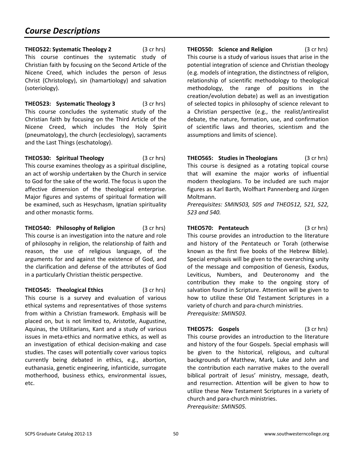**THEO522: Systematic Theology 2** (3 cr hrs) This course continues the systematic study of Christian faith by focusing on the Second Article of the Nicene Creed, which includes the person of Jesus Christ (Christology), sin (hamartiology) and salvation (soteriology).

**THEO523: Systematic Theology 3** (3 cr hrs) This course concludes the systematic study of the Christian faith by focusing on the Third Article of the Nicene Creed, which includes the Holy Spirit (pneumatology), the church (ecclesiology), sacraments and the Last Things (eschatology).

**THEO530: Spiritual Theology** (3 cr hrs) This course examines theology as a spiritual discipline, an act of worship undertaken by the Church in service to God for the sake of the world. The focus is upon the affective dimension of the theological enterprise. Major figures and systems of spiritual formation will be examined, such as Hesychasm, Ignatian spirituality and other monastic forms.

**THEO540: Philosophy of Religion** (3 cr hrs) This course is an investigation into the nature and role of philosophy in religion, the relationship of faith and reason, the use of religious language, of the arguments for and against the existence of God, and the clarification and defense of the attributes of God in a particularly Christian theistic perspective.

**THEO545: Theological Ethics** (3 cr hrs) This course is a survey and evaluation of various ethical systems and representatives of those systems from within a Christian framework. Emphasis will be placed on, but is not limited to, Aristotle, Augustine, Aquinas, the Utilitarians, Kant and a study of various issues in meta-ethics and normative ethics, as well as an investigation of ethical decision-making and case studies. The cases will potentially cover various topics currently being debated in ethics, e.g., abortion, euthanasia, genetic engineering, infanticide, surrogate motherhood, business ethics, environmental issues, etc.

**THEO550: Science and Religion** (3 cr hrs) This course is a study of various issues that arise in the potential integration of science and Christian theology (e.g. models of integration, the distinctness of religion, relationship of scientific methodology to theological methodology, the range of positions in the creation/evolution debate) as well as an investigation of selected topics in philosophy of science relevant to a Christian perspective (e.g., the realist/antirealist debate, the nature, formation, use, and confirmation of scientific laws and theories, scientism and the assumptions and limits of science).

**THEO565: Studies in Theologians** (3 cr hrs) This course is designed as a rotating topical course that will examine the major works of influential modern theologians. To be included are such major figures as Karl Barth, Wolfhart Pannenberg and Jürgen Moltmann.

*Prerequisites: SMIN503, 505 and THEO512, 521, 522, 523 and 540.* 

**THEO570: Pentateuch** (3 cr hrs) This course provides an introduction to the literature and history of the Pentateuch or Torah (otherwise known as the first five books of the Hebrew Bible). Special emphasis will be given to the overarching unity of the message and composition of Genesis, Exodus, Leviticus, Numbers, and Deuteronomy and the contribution they make to the ongoing story of salvation found in Scripture. Attention will be given to how to utilize these Old Testament Scriptures in a variety of church and para-church ministries. *Prerequisite: SMIN503.*

**THEO575: Gospels** (3 cr hrs) This course provides an introduction to the literature and history of the four Gospels. Special emphasis will be given to the historical, religious, and cultural backgrounds of Matthew, Mark, Luke and John and the contribution each narrative makes to the overall biblical portrait of Jesus' ministry, message, death, and resurrection. Attention will be given to how to utilize these New Testament Scriptures in a variety of church and para-church ministries. *Prerequisite: SMIN505.*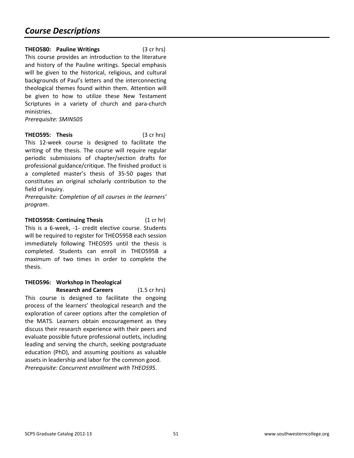**THEO580: Pauline Writings** (3 cr hrs) This course provides an introduction to the literature and history of the Pauline writings. Special emphasis will be given to the historical, religious, and cultural backgrounds of Paul's letters and the interconnecting theological themes found within them. Attention will be given to how to utilize these New Testament Scriptures in a variety of church and para-church ministries.

*Prerequisite: SMIN505* 

**THEO595: Thesis** (3 cr hrs) This 12-week course is designed to facilitate the writing of the thesis. The course will require regular periodic submissions of chapter/section drafts for professional guidance/critique. The finished product is a completed master's thesis of 35-50 pages that constitutes an original scholarly contribution to the field of inquiry.

*Prerequisite: Completion of all courses in the learners' program*.

**THEO595B: Continuing Thesis** (1 cr hr) This is a 6-week, -1- credit elective course. Students will be required to register for THEO595B each session immediately following THEO595 until the thesis is completed. Students can enroll in THEO595B a maximum of two times in order to complete the thesis.

#### **THEO596: Workshop in Theological Research and Careers** (1.5 cr hrs)

This course is designed to facilitate the ongoing process of the learners' theological research and the exploration of career options after the completion of the MATS. Learners obtain encouragement as they discuss their research experience with their peers and evaluate possible future professional outlets, including leading and serving the church, seeking postgraduate education (PhD), and assuming positions as valuable assets in leadership and labor for the common good. *Prerequisite: Concurrent enrollment with THEO595*.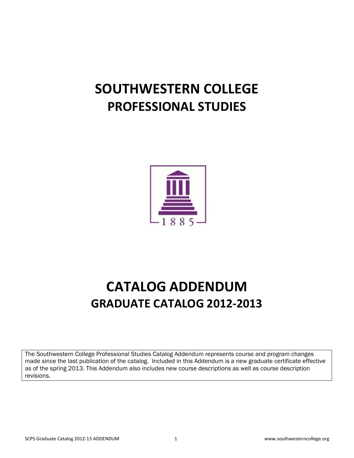# **SOUTHWESTERN COLLEGE PROFESSIONAL STUDIES**



# **CATALOG ADDENDUM GRADUATE CATALOG 2012-2013**

The Southwestern College Professional Studies Catalog Addendum represents course and program changes made since the last publication of the catalog. Included in this Addendum is a new graduate certificate effective as of the spring 2013. This Addendum also includes new course descriptions as well as course description revisions.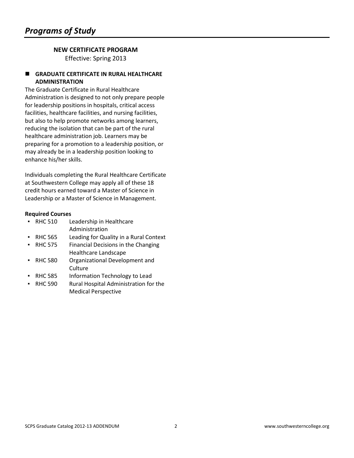## **NEW CERTIFICATE PROGRAM**

Effective: Spring 2013

#### **GRADUATE CERTIFICATE IN RURAL HEALTHCARE ADMINISTRATION**

The Graduate Certificate in Rural Healthcare Administration is designed to not only prepare people for leadership positions in hospitals, critical access facilities, healthcare facilities, and nursing facilities, but also to help promote networks among learners, reducing the isolation that can be part of the rural healthcare administration job. Learners may be preparing for a promotion to a leadership position, or may already be in a leadership position looking to enhance his/her skills.

Individuals completing the Rural Healthcare Certificate at Southwestern College may apply all of these 18 credit hours earned toward a Master of Science in Leadership or a Master of Science in Management.

| <b>RHC 510</b> | Leadership in Healthcare               |
|----------------|----------------------------------------|
|                | Administration                         |
| <b>RHC 565</b> | Leading for Quality in a Rural Context |
| <b>RHC 575</b> | Financial Decisions in the Changing    |
|                | <b>Healthcare Landscape</b>            |
| <b>RHC 580</b> | Organizational Development and         |
|                | Culture                                |
| <b>RHC 585</b> | Information Technology to Lead         |
| <b>RHC 590</b> | Rural Hospital Administration for the  |
|                | <b>Medical Perspective</b>             |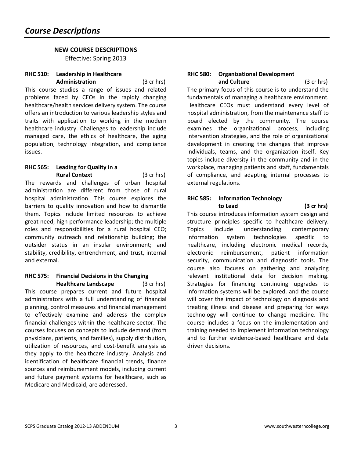#### **NEW COURSE DESCRIPTIONS**  Effective: Spring 2013

#### **RHC 510: Leadership in Healthcare Administration** (3 cr hrs)

This course studies a range of issues and related problems faced by CEOs in the rapidly changing healthcare/health services delivery system. The course offers an introduction to various leadership styles and traits with application to working in the modern healthcare industry. Challenges to leadership include managed care, the ethics of healthcare, the aging population, technology integration, and compliance issues.

#### **RHC 565: Leading for Quality in a Rural Context** (3 cr hrs)

The rewards and challenges of urban hospital administration are different from those of rural hospital administration. This course explores the barriers to quality innovation and how to dismantle them. Topics include limited resources to achieve great need; high performance leadership; the multiple roles and responsibilities for a rural hospital CEO; community outreach and relationship building; the outsider status in an insular environment; and stability, credibility, entrenchment, and trust, internal and external.

#### **RHC 575: Financial Decisions in the Changing Healthcare Landscape** (3 cr hrs)

This course prepares current and future hospital administrators with a full understanding of financial planning, control measures and financial management to effectively examine and address the complex financial challenges within the healthcare sector. The courses focuses on concepts to include demand (from physicians, patients, and families), supply distribution, utilization of resources, and cost-benefit analysis as they apply to the healthcare industry. Analysis and identification of healthcare financial trends, finance sources and reimbursement models, including current and future payment systems for healthcare, such as Medicare and Medicaid, are addressed.

#### **RHC 580: Organizational Development and Culture** (3 cr hrs)

The primary focus of this course is to understand the fundamentals of managing a healthcare environment. Healthcare CEOs must understand every level of hospital administration, from the maintenance staff to board elected by the community. The course examines the organizational process, including intervention strategies, and the role of organizational development in creating the changes that improve individuals, teams, and the organization itself. Key topics include diversity in the community and in the workplace, managing patients and staff, fundamentals of compliance, and adapting internal processes to external regulations.

#### **RHC 585: Information Technology to Lead (3 cr hrs)**

This course introduces information system design and structure principles specific to healthcare delivery. Topics include understanding contemporary information system technologies specific to healthcare, including electronic medical records, electronic reimbursement, patient information security, communication and diagnostic tools. The course also focuses on gathering and analyzing relevant institutional data for decision making. Strategies for financing continuing upgrades to information systems will be explored, and the course will cover the impact of technology on diagnosis and treating illness and disease and preparing for ways technology will continue to change medicine. The course includes a focus on the implementation and training needed to implement information technology and to further evidence-based healthcare and data driven decisions.